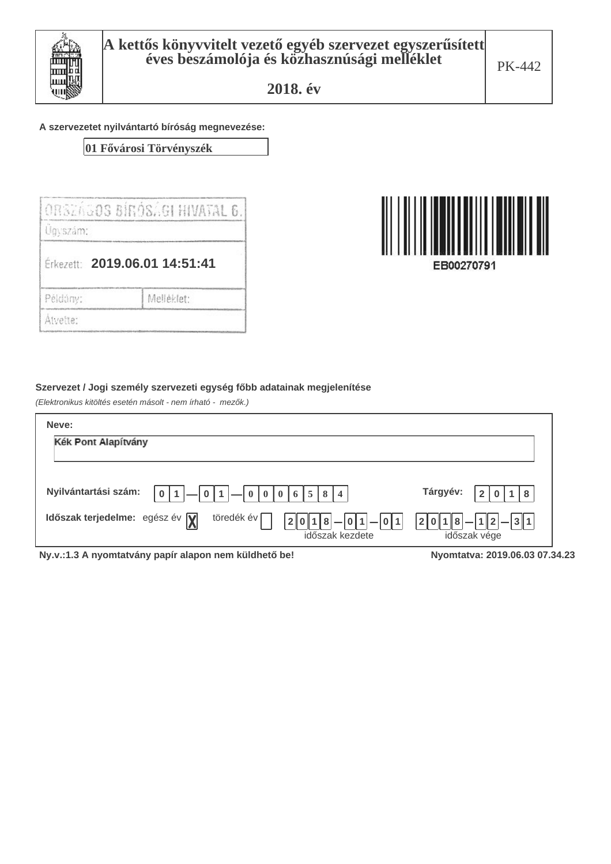

#### A szervezetet nyilvántartó bíróság megnevezése:

01 Fővárosi Törvényszék

|          | IORSEAGOS BIRÓSAGI HIVATAL 6. |
|----------|-------------------------------|
| Úgyszám: |                               |
|          | Érkezett: 2019.06.01 14:51:41 |
| Példány: | Melléklet:                    |
| Atvette: |                               |



EB00270791

#### Szervezet / Jogi személy szervezeti egység főbb adatainak megjelenítése

(Elektronikus kitöltés esetén másolt - nem írható - mezők.)

| Neve:                                                                                                             |                                        |  |
|-------------------------------------------------------------------------------------------------------------------|----------------------------------------|--|
| Kék Pont Alapítvány                                                                                               |                                        |  |
|                                                                                                                   |                                        |  |
| Nyilvántartási szám:<br>0   6   5  <br>8<br>$\overline{4}$<br>$\mathbf{0}$                                        | Tárgyév:<br>8                          |  |
| Időszak terjedelme: egész év $\sqrt{\mathbf{y}}$<br>töredék év<br>$ 0 1  -  0 1 $<br> 2 0 1 8 <br>időszak kezdete | $ 2 0 1 8 - 1 2 - 3 1$<br>időszak vége |  |
| Ny.v.:1.3 A nyomtatvány papír alapon nem küldhető be!                                                             | Nyomtatya: 2019.06.03 07.34.23         |  |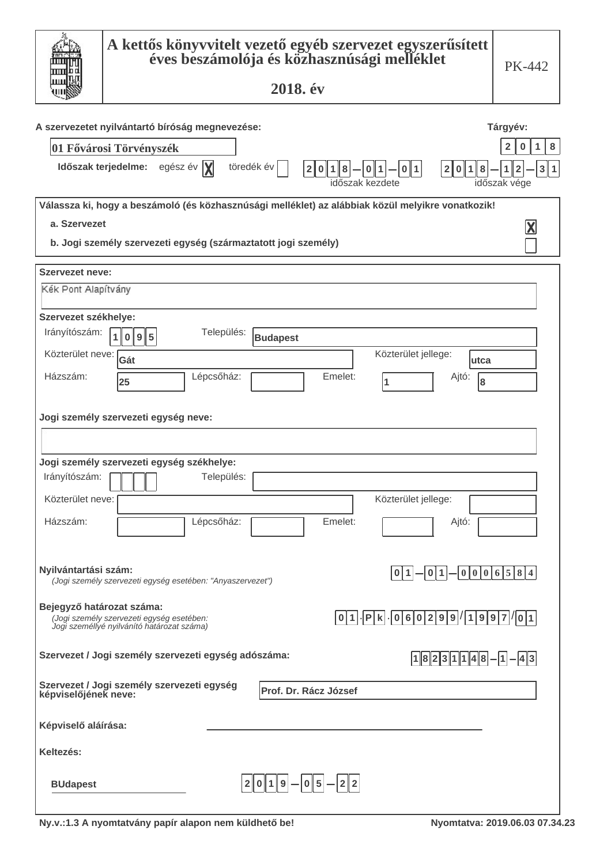|                           | A kettős könyvvitelt vezető egyéb szervezet egyszerűsített<br>éves beszámolója és közhasznúsági melléklet<br>2018. év                                              | PK-442                        |
|---------------------------|--------------------------------------------------------------------------------------------------------------------------------------------------------------------|-------------------------------|
|                           |                                                                                                                                                                    |                               |
|                           | A szervezetet nyilvántartó bíróság megnevezése:                                                                                                                    | Tárgyév:                      |
|                           | 01 Fővárosi Törvényszék                                                                                                                                            | 8<br>1<br>2<br>0              |
|                           | Időszak terjedelme: egész év  X <br>töredék év<br>- 0 1<br>2 0 1 8<br>2 0<br> 1 8<br>  0   1  <br>időszak kezdete                                                  | 3 1<br>2<br>1<br>időszak vége |
|                           | Válassza ki, hogy a beszámoló (és közhasznúsági melléklet) az alábbiak közül melyikre vonatkozik!                                                                  |                               |
| a. Szervezet              |                                                                                                                                                                    | $\overline{\textbf{X}}$       |
|                           | b. Jogi személy szervezeti egység (származtatott jogi személy)                                                                                                     |                               |
| Szervezet neve:           |                                                                                                                                                                    |                               |
| Kék Pont Alapítvány       |                                                                                                                                                                    |                               |
| Szervezet székhelye:      |                                                                                                                                                                    |                               |
| Irányítószám:             | Település:<br>1 0 9 5<br><b>Budapest</b>                                                                                                                           |                               |
| Közterület neve:          | Közterület jellege:<br>Gát<br>lutca                                                                                                                                |                               |
| Házszám:                  | Lépcsőház:<br>Emelet:<br>Ajtó:<br>8<br>25<br>1                                                                                                                     |                               |
|                           | Jogi személy szervezeti egység neve:<br>Jogi személy szervezeti egység székhelye:                                                                                  |                               |
| Irányítószám:             | Település:                                                                                                                                                         |                               |
| Közterület neve:          | Közterület jellege:                                                                                                                                                |                               |
| Házszám:                  | Lépcsőház:<br>Emelet:<br>Ajtó:                                                                                                                                     |                               |
| Nyilvántartási szám:      | $- 0 0 0 6 5 8 4$<br>-  이 1 <br>0 1 <br>(Jogi személy szervezeti egység esetében: "Anyaszervezet")                                                                 |                               |
| Bejegyző határozat száma: | $-$ Pk $-$ 060299/1997/01<br> 0 1 <br>.<br>(Jogi személy szervezeti egység esetében:<br>Jogi személlyé nyilvánító határozat száma)                                 |                               |
|                           | Szervezet / Jogi személy szervezeti egység adószáma:<br>$\left[1\right]8\left[2\right]3\left[1\right]1\left[4\right]8\left[-\left[1\right]-\left[4\right]3\right]$ |                               |
|                           | Szervezet / Jogi személy szervezeti egység<br>képviselőjének neve:<br>Prof. Dr. Rácz József                                                                        |                               |
| Képviselő aláírása:       |                                                                                                                                                                    |                               |
| Keltezés:                 |                                                                                                                                                                    |                               |
| <b>BUdapest</b>           | $2 0 1 9 - 0 5 - 2 2 $                                                                                                                                             |                               |

I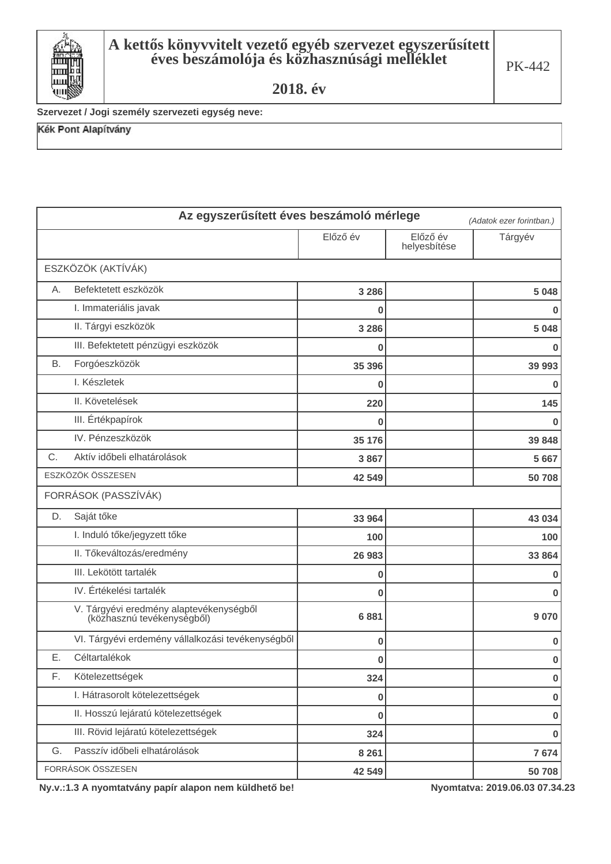

Szervezet / Jogi személy szervezeti egység neve:

Kék Pont Alapítvány

|           | Az egyszerűsített éves beszámoló mérlege                              |          |                          | (Adatok ezer forintban.) |
|-----------|-----------------------------------------------------------------------|----------|--------------------------|--------------------------|
|           |                                                                       | Előző év | Előző év<br>helyesbítése | Tárgyév                  |
|           | ESZKÖZÖK (AKTÍVÁK)                                                    |          |                          |                          |
| Α.        | Befektetett eszközök                                                  | 3 2 8 6  |                          | 5 0 4 8                  |
|           | I. Immateriális javak                                                 | 0        |                          | 0                        |
|           | II. Tárgyi eszközök                                                   | 3 2 8 6  |                          | 5 0 4 8                  |
|           | III. Befektetett pénzügyi eszközök                                    | 0        |                          | 0                        |
| <b>B.</b> | Forgóeszközök                                                         | 35 396   |                          | 39 993                   |
|           | I. Készletek                                                          | $\bf{0}$ |                          | 0                        |
|           | II. Követelések                                                       | 220      |                          | 145                      |
|           | III. Értékpapírok                                                     | 0        |                          | 0                        |
|           | IV. Pénzeszközök                                                      | 35 176   |                          | 39 848                   |
| С.        | Aktív időbeli elhatárolások                                           | 3867     |                          | 5 6 6 7                  |
|           | ESZKÖZÖK ÖSSZESEN                                                     | 42 549   |                          | 50 708                   |
|           | FORRÁSOK (PASSZÍVÁK)                                                  |          |                          |                          |
| D.        | Saját tőke                                                            | 33 964   |                          | 43 034                   |
|           | I. Induló tőke/jegyzett tőke                                          | 100      |                          | 100                      |
|           | II. Tőkeváltozás/eredmény                                             | 26 983   |                          | 33 864                   |
|           | III. Lekötött tartalék                                                | 0        |                          | 0                        |
|           | IV. Értékelési tartalék                                               | 0        |                          | 0                        |
|           | V. Tárgyévi eredmény alaptevékenységből<br>(közhasznú tevékenységből) | 6881     |                          | 9 0 7 0                  |
|           | VI. Tárgyévi erdemény vállalkozási tevékenységből                     | 0        |                          | 0                        |
| Ε.        | Céltartalékok                                                         | 0        |                          | 0                        |
| F.        | Kötelezettségek                                                       | 324      |                          | $\bf{0}$                 |
|           | I. Hátrasorolt kötelezettségek                                        | 0        |                          | $\pmb{0}$                |
|           | II. Hosszú lejáratú kötelezettségek                                   | 0        |                          | 0                        |
|           | III. Rövid lejáratú kötelezettségek                                   | 324      |                          | 0                        |
| G.        | Passzív időbeli elhatárolások                                         | 8 2 6 1  |                          | 7674                     |
|           | FORRÁSOK ÖSSZESEN                                                     | 42 549   |                          | 50 708                   |

Ny.v.:1.3 A nyomtatvány papír alapon nem küldhető be!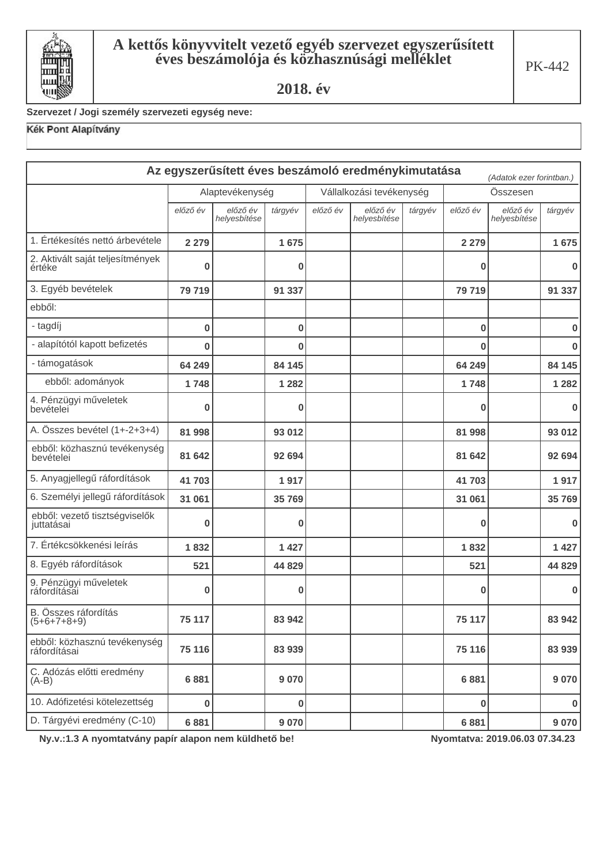

# Szervezet / Jogi személy szervezeti egység neve:

# Kék Pont Alapítvány

|                                              |                                             |                          |          |          | Az egyszerűsített éves beszámoló eredménykimutatása |         |          | (Adatok ezer forintban.) |             |
|----------------------------------------------|---------------------------------------------|--------------------------|----------|----------|-----------------------------------------------------|---------|----------|--------------------------|-------------|
|                                              | Alaptevékenység<br>Vállalkozási tevékenység |                          |          |          | Összesen                                            |         |          |                          |             |
|                                              | előző év                                    | előző év<br>helyesbítése | tárgyév  | előző év | előző év<br>helyesbítése                            | tárgyév | előző év | előző év<br>helyesbítése | tárgyév     |
| 1. Értékesítés nettó árbevétele              | 2 2 7 9                                     |                          | 1675     |          |                                                     |         | 2 2 7 9  |                          | 1675        |
| 2. Aktivált saját teljesítmények<br>értéke   | $\bf{0}$                                    |                          | 0        |          |                                                     |         | 0        |                          | $\bf{0}$    |
| 3. Egyéb bevételek                           | 79 719                                      |                          | 91 337   |          |                                                     |         | 79 719   |                          | 91 337      |
| ebből:                                       |                                             |                          |          |          |                                                     |         |          |                          |             |
| - tagdíj                                     | $\bf{0}$                                    |                          | $\bf{0}$ |          |                                                     |         | $\bf{0}$ |                          | $\bf{0}$    |
| - alapítótól kapott befizetés                | $\bf{0}$                                    |                          | 0        |          |                                                     |         | 0        |                          | $\bf{0}$    |
| - támogatások                                | 64 249                                      |                          | 84 145   |          |                                                     |         | 64 249   |                          | 84 145      |
| ebből: adományok                             | 1748                                        |                          | 1 2 8 2  |          |                                                     |         | 1748     |                          | 1 2 8 2     |
| 4. Pénzügyi műveletek<br>bevételei           | 0                                           |                          | $\bf{0}$ |          |                                                     |         | 0        |                          | $\bf{0}$    |
| A. Összes bevétel (1+-2+3+4)                 | 81 998                                      |                          | 93 012   |          |                                                     |         | 81 998   |                          | 93 012      |
| ebből: közhasznú tevékenység<br>bevételei    | 81 642                                      |                          | 92 694   |          |                                                     |         | 81 642   |                          | 92 694      |
| 5. Anyagjellegű ráfordítások                 | 41703                                       |                          | 1917     |          |                                                     |         | 41703    |                          | 1917        |
| 6. Személyi jellegű ráfordítások             | 31 061                                      |                          | 35 769   |          |                                                     |         | 31 061   |                          | 35 769      |
| ebből: vezető tisztségviselők<br>juttatásai  | 0                                           |                          | $\bf{0}$ |          |                                                     |         | 0        |                          | $\bf{0}$    |
| 7. Értékcsökkenési leírás                    | 1832                                        |                          | 1 4 2 7  |          |                                                     |         | 1832     |                          | 1427        |
| 8. Egyéb ráfordítások                        | 521                                         |                          | 44 829   |          |                                                     |         | 521      |                          | 44 829      |
| 9. Pénzügyi műveletek<br>ráfordításai        | 0                                           |                          | $\bf{0}$ |          |                                                     |         | 0        |                          | $\bf{0}$    |
| B. Összes ráfordítás<br>$(5+6+7+8+9)$        | 75 117                                      |                          | 83 942   |          |                                                     |         | 75 117   |                          | 83 942      |
| ebből: közhasznú tevékenység<br>ráfordításai | 75 116                                      |                          | 83 939   |          |                                                     |         | 75 116   |                          | 83 939      |
| C. Adózás előtti eredmény<br>$(A-B)$         | 6881                                        |                          | 9 0 7 0  |          |                                                     |         | 6881     |                          | 9 0 7 0     |
| 10. Adófizetési kötelezettség                | 0                                           |                          | $\bf{0}$ |          |                                                     |         | 0        |                          | $\mathbf 0$ |
| D. Tárgyévi eredmény (C-10)                  | 6881                                        |                          | 9 0 7 0  |          |                                                     |         | 6881     |                          | 9 0 7 0     |

Ny.v.:1.3 A nyomtatvány papír alapon nem küldhető be!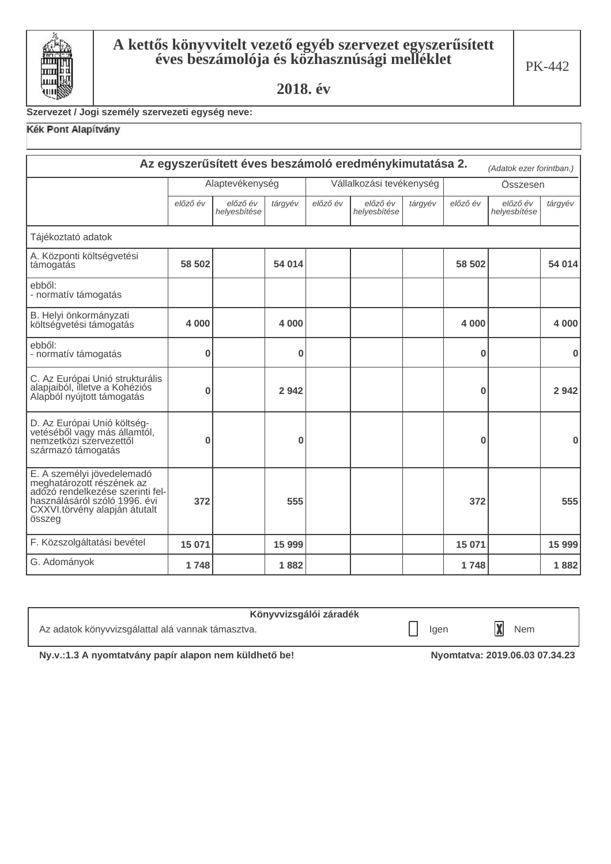

#### Szervezet / Jogi személy szervezeti egység neve:

### Kék Pont Alapítvány

| Az egyszerűsített éves beszámoló eredménykimutatása 2.<br>(Adatok ezer forintban.)                                                                                      |          |                                             |         |          |                          |         |          |                          |          |
|-------------------------------------------------------------------------------------------------------------------------------------------------------------------------|----------|---------------------------------------------|---------|----------|--------------------------|---------|----------|--------------------------|----------|
|                                                                                                                                                                         |          | Alaptevékenység<br>Vállalkozási tevékenység |         |          |                          |         | Összesen |                          |          |
|                                                                                                                                                                         | előző év | előző év<br>helyesbítése                    | tárgyév | előző év | előző év<br>helyesbítése | tárgyév | előző év | előző év<br>helyesbítése | tárgyév  |
| Tájékoztató adatok                                                                                                                                                      |          |                                             |         |          |                          |         |          |                          |          |
| A. Központi költségvetési<br>támogatás                                                                                                                                  | 58 502   |                                             | 54 014  |          |                          |         | 58 502   |                          | 54 014   |
| ebből:<br>- normatív támogatás                                                                                                                                          |          |                                             |         |          |                          |         |          |                          |          |
| B. Helyi önkormányzati<br>költségvetési támogatás                                                                                                                       | 4 0 0 0  |                                             | 4 0 0 0 |          |                          |         | 4 0 0 0  |                          | 4 0 0 0  |
| ebből:<br>- normatív támogatás                                                                                                                                          | 0        |                                             | 0       |          |                          |         | $\bf{0}$ |                          | $\bf{0}$ |
| C. Az Európai Unió strukturális<br>alapjaiból, illetve a Kohéziós<br>Alapból nyújtott támogatás                                                                         | 0        |                                             | 2 9 4 2 |          |                          |         | 0        |                          | 2 9 4 2  |
| D. Az Európai Unió költség-<br>vetéséből vagy más államtól,<br>nemzetközi szervezettől<br>származó támogatás                                                            | 0        |                                             | 0       |          |                          |         | 0        |                          | $\bf{0}$ |
| E. A személyi jövedelemadó<br>meghatározott részének az<br>adózó rendelkezése szerinti fel-<br>használásáról szóló 1996. évi<br>CXXVI.törvény alapján átutalt<br>összeg | 372      |                                             | 555     |          |                          |         | 372      |                          | 555      |
| F. Közszolgáltatási bevétel                                                                                                                                             | 15 0 71  |                                             | 15 9 99 |          |                          |         | 15 0 71  |                          | 15 999   |
| G. Adományok                                                                                                                                                            | 1748     |                                             | 1882    |          |                          |         | 1748     |                          | 1882     |

| Könyvvizsgálói záradék                            |      |     |
|---------------------------------------------------|------|-----|
| Az adatok könyvvizsgálattal alá vannak támasztva. | lgen | Nem |

Ny.v.:1.3 A nyomtatvány papír alapon nem küldhető be!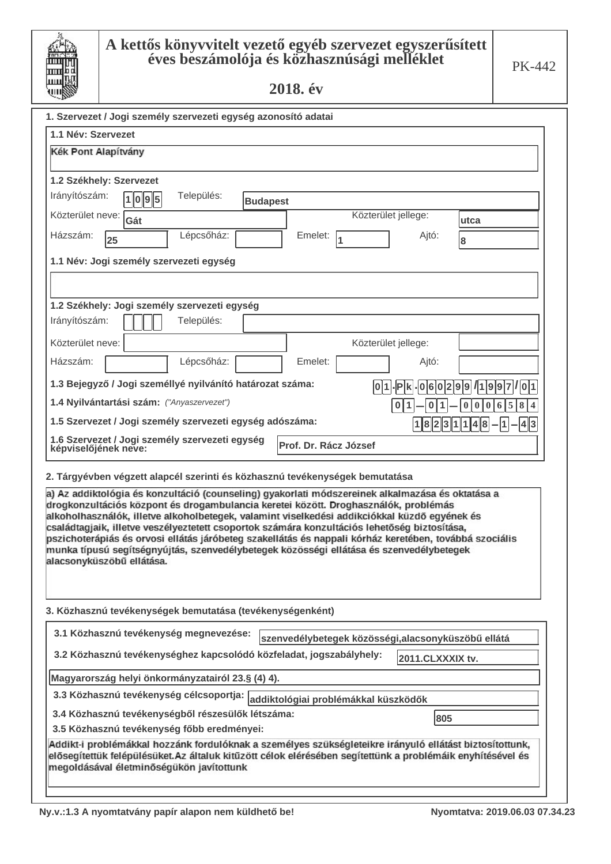| Ш<br>ш |  |
|--------|--|
| Ш      |  |

# **A kettős könyvvitelt vezető egyéb szervezet egyszerűsített** éves beszámolója és közhasznúsági melléklet

2018. év

| 1. Szervezet / Jogi személy szervezeti egység azonosító adatai                                                                                                                                                                                                                                                                                                                                                                                                                                                        |                       |                     |                             |  |
|-----------------------------------------------------------------------------------------------------------------------------------------------------------------------------------------------------------------------------------------------------------------------------------------------------------------------------------------------------------------------------------------------------------------------------------------------------------------------------------------------------------------------|-----------------------|---------------------|-----------------------------|--|
| 1.1 Név: Szervezet                                                                                                                                                                                                                                                                                                                                                                                                                                                                                                    |                       |                     |                             |  |
| Kék Pont Alapítvány                                                                                                                                                                                                                                                                                                                                                                                                                                                                                                   |                       |                     |                             |  |
|                                                                                                                                                                                                                                                                                                                                                                                                                                                                                                                       |                       |                     |                             |  |
| 1.2 Székhely: Szervezet                                                                                                                                                                                                                                                                                                                                                                                                                                                                                               |                       |                     |                             |  |
| Irányítószám:<br>Település:<br>1 0 9 5<br><b>Budapest</b>                                                                                                                                                                                                                                                                                                                                                                                                                                                             |                       |                     |                             |  |
| Közterület neve: Gát                                                                                                                                                                                                                                                                                                                                                                                                                                                                                                  |                       | Közterület jellege: | utca                        |  |
| Lépcsőház:<br>Házszám:<br>25                                                                                                                                                                                                                                                                                                                                                                                                                                                                                          | Emelet:               | Ajtó:               | 8                           |  |
| 1.1 Név: Jogi személy szervezeti egység                                                                                                                                                                                                                                                                                                                                                                                                                                                                               |                       |                     |                             |  |
|                                                                                                                                                                                                                                                                                                                                                                                                                                                                                                                       |                       |                     |                             |  |
| 1.2 Székhely: Jogi személy szervezeti egység                                                                                                                                                                                                                                                                                                                                                                                                                                                                          |                       |                     |                             |  |
| Irányítószám:<br>Település:                                                                                                                                                                                                                                                                                                                                                                                                                                                                                           |                       |                     |                             |  |
| Közterület neve:                                                                                                                                                                                                                                                                                                                                                                                                                                                                                                      |                       | Közterület jellege: |                             |  |
| Házszám:<br>Lépcsőház:                                                                                                                                                                                                                                                                                                                                                                                                                                                                                                | Emelet:               | Ajtó:               |                             |  |
| 1.3 Bejegyző / Jogi személlyé nyilvánító határozat száma:<br> 6 0 2 9 9 <br>101<br>- P k<br>1 1 9 9 7                                                                                                                                                                                                                                                                                                                                                                                                                 |                       |                     |                             |  |
| 1.4 Nyilvántartási szám: ("Anyaszervezet")<br>0<br>1                                                                                                                                                                                                                                                                                                                                                                                                                                                                  |                       |                     |                             |  |
| 1.5 Szervezet / Jogi személy szervezeti egység adószáma:                                                                                                                                                                                                                                                                                                                                                                                                                                                              |                       | 1823                | 1 <br> 8<br> 4  3<br>4<br>1 |  |
| 1.6 Szervezet / Jogi személy szervezeti egység<br>képviselőjének neve:                                                                                                                                                                                                                                                                                                                                                                                                                                                | Prof. Dr. Rácz József |                     |                             |  |
| 2. Tárgyévben végzett alapcél szerinti és közhasznú tevékenységek bemutatása                                                                                                                                                                                                                                                                                                                                                                                                                                          |                       |                     |                             |  |
| a) Az addiktológia és konzultáció (counseling) gyakorlati módszereinek alkalmazása és oktatása a                                                                                                                                                                                                                                                                                                                                                                                                                      |                       |                     |                             |  |
| drogkonzultációs központ és drogambulancia keretei között. Droghasználók, problémás<br>alkoholhasználók, illetve alkoholbetegek, valamint viselkedési addikciókkal küzdő egyének és<br>családtagjaik, illetve veszélyeztetett csoportok számára konzultációs lehetőség biztosítása,<br>pszichoterápiás és orvosi ellátás járóbeteg szakellátás és nappali kórház keretében, továbbá szociális<br>munka típusú segítségnyújtás, szenvedélybetegek közösségi ellátása és szenvedélybetegek<br>alacsonyküszöbű ellátása. |                       |                     |                             |  |
|                                                                                                                                                                                                                                                                                                                                                                                                                                                                                                                       |                       |                     |                             |  |

3. Közhasznú tevékenységek bemutatása (tevékenységenként)

| 3.1 Közhasznú tevékenység megnevezése:<br>szenvedélybetegek közösségi,alacsonyküszöbű ellátá                                                                                                                                                                      |                  |
|-------------------------------------------------------------------------------------------------------------------------------------------------------------------------------------------------------------------------------------------------------------------|------------------|
| 3.2 Közhasznú tevékenységhez kapcsolódó közfeladat, jogszabályhely:                                                                                                                                                                                               | 2011.CLXXXIX tv. |
| Magyarország helyi önkormányzatairól 23.§ (4) 4).                                                                                                                                                                                                                 |                  |
| 3.3 Közhasznú tevékenység célcsoportja: addiktológiai problémákkal küszködők                                                                                                                                                                                      |                  |
| 3.4 Közhasznú tevékenységből részesülők létszáma:<br>3.5 Közhasznú tevékenység főbb eredményei:                                                                                                                                                                   | 1805             |
| Addikt-i problémákkal hozzánk fordulóknak a személyes szükségleteikre irányuló ellátást biztosítottunk,<br>elősegítettük felépülésüket. Az általuk kitűzött célok elérésében segítettünk a problémáik enyhítésével és<br>megoldásával életminőségükön javítottunk |                  |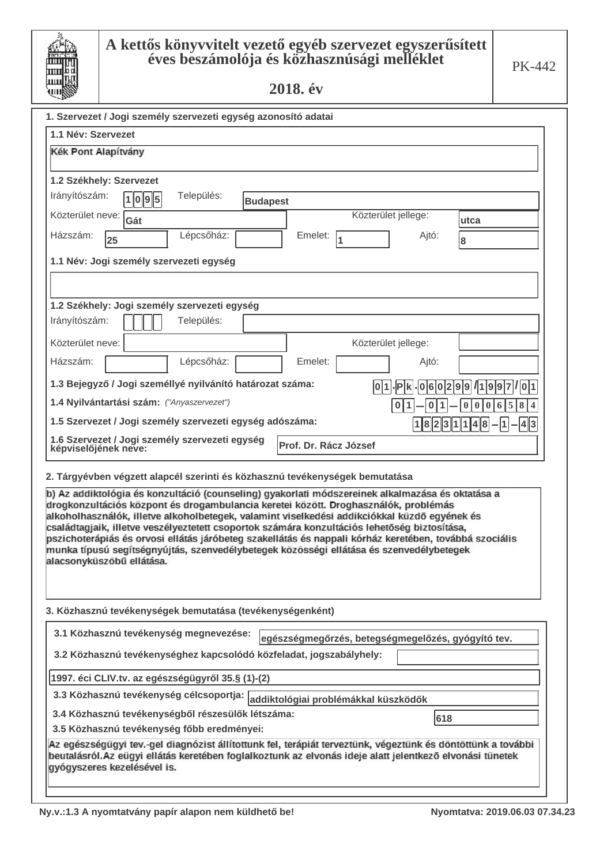| Ш      |
|--------|
| Ш<br>ш |
| Ш      |

# **A kettős könyvvitelt vezető egyéb szervezet egyszerűsített** éves beszámolója és közhasznúsági melléklet

2018. év

| 1. Szervezet / Jogi személy szervezeti egység azonosító adatai                                                                                                                                                                                                                          |
|-----------------------------------------------------------------------------------------------------------------------------------------------------------------------------------------------------------------------------------------------------------------------------------------|
| 1.1 Név: Szervezet                                                                                                                                                                                                                                                                      |
| Kék Pont Alapítvány                                                                                                                                                                                                                                                                     |
|                                                                                                                                                                                                                                                                                         |
| 1.2 Székhely: Szervezet                                                                                                                                                                                                                                                                 |
| Irányítószám:<br>Település:<br>1095<br><b>Budapest</b>                                                                                                                                                                                                                                  |
| Közterület jellege:<br>Közterület neve: [<br>Gát<br>utca                                                                                                                                                                                                                                |
| Lépcsőház:<br>Házszám:<br>Emelet:<br>Ajtó:<br>25<br>8                                                                                                                                                                                                                                   |
| 1.1 Név: Jogi személy szervezeti egység                                                                                                                                                                                                                                                 |
|                                                                                                                                                                                                                                                                                         |
| 1.2 Székhely: Jogi személy szervezeti egység                                                                                                                                                                                                                                            |
| Irányítószám:<br>Település:                                                                                                                                                                                                                                                             |
| Közterület neve:<br>Közterület jellege:                                                                                                                                                                                                                                                 |
| Házszám:<br>Lépcsőház:<br>Emelet:<br>Ajtó:                                                                                                                                                                                                                                              |
| 1.3 Bejegyző / Jogi személlyé nyilvánító határozat száma:<br>$-06029971997701$<br>$ 0 1 $ - $ P k $                                                                                                                                                                                     |
| 1.4 Nyilvántartási szám: ("Anyaszervezet")<br>$\pmb{0}$<br>5<br>$\bf{8}$<br>1<br>6<br>$\overline{\mathbf{4}}$<br>0<br>0                                                                                                                                                                 |
| 1.5 Szervezet / Jogi személy szervezeti egység adószáma:<br>1 8 2 3 1 1 4 8<br>1<br> 4  3                                                                                                                                                                                               |
| 1.6 Szervezet / Jogi személy szervezeti egység<br>Prof. Dr. Rácz József<br>képviselőjének neve:                                                                                                                                                                                         |
| 2. Tárgyévben végzett alapcél szerinti és közhasznú tevékenységek bemutatása                                                                                                                                                                                                            |
| b) Az addiktológia és konzultáció (counseling) gyakorlati módszereinek alkalmazása és oktatása a<br>drogkonzultációs központ és drogambulancia keretei között. Droghasználók, problémás<br>alkoholhasználók, illetve alkoholbetegek, valamint viselkedési addikciókkal küzdő egyének és |

családtagjaik, illetve veszélyeztetett csoportok számára konzultációs lehetőség biztosítása, pszichoterápiás és orvosi ellátás járóbeteg szakellátás és nappali kórház keretében, továbbá szociális munka típusú segítségnyújtás, szenvedélybetegek közösségi ellátása és szenvedélybetegek alacsonyküszöbű ellátása.

3. Közhasznú tevékenységek bemutatása (tevékenységenként)

| 3.1 Közhasznú tevékenység megnevezése:<br>egészségmegőrzés, betegségmegelőzés, gyógyító tev.                                                                                                                                                           |  |  |
|--------------------------------------------------------------------------------------------------------------------------------------------------------------------------------------------------------------------------------------------------------|--|--|
| 3.2 Közhasznú tevékenységhez kapcsolódó közfeladat, jogszabályhely:                                                                                                                                                                                    |  |  |
| 1997. éci CLIV.tv. az egészségügyről 35.§ (1)-(2)                                                                                                                                                                                                      |  |  |
| 3.3 Közhasznú tevékenység célcsoportja: addiktológiai problémákkal küszködők                                                                                                                                                                           |  |  |
| 3.4 Közhasznú tevékenységből részesülők létszáma:<br>618                                                                                                                                                                                               |  |  |
| 3.5 Közhasznú tevékenység főbb eredményei:                                                                                                                                                                                                             |  |  |
| Az egészségügyi tev.-gel diagnózist állítottunk fel, terápiát terveztünk, végeztünk és döntöttünk a további<br>beutalásról. Az eügyi ellátás keretében foglalkoztunk az elvonás ideje alatt jelentkező elvonási tünetek<br>gyógyszeres kezelésével is. |  |  |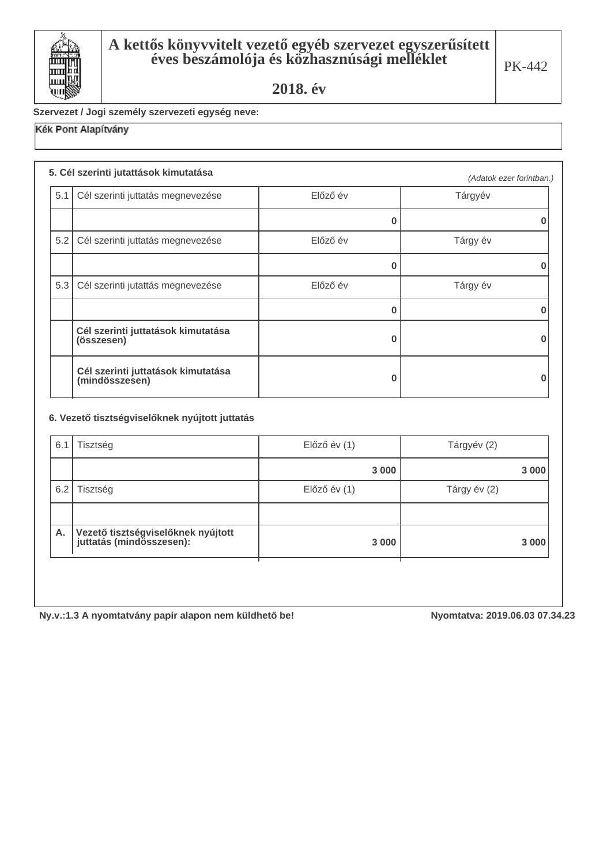

Szervezet / Jogi személy szervezeti egység neve:

# Kék Pont Alapítvány

### **5. Cél szerinti jutattások kimutatása**

|     |                                                      |          | (Adatok ezer forintban.) |
|-----|------------------------------------------------------|----------|--------------------------|
|     | 5.1 Cél szerinti juttatás megnevezése                | Előző év | Tárgyév                  |
|     |                                                      |          |                          |
|     | 5.2 Cél szerinti juttatás megnevezése                | Előző év | Tárgy év                 |
|     |                                                      | ŋ        |                          |
| 5.3 | Cél szerinti jutattás megnevezése                    | Előző év | Tárgy év                 |
|     |                                                      |          |                          |
|     | Cél szerinti juttatások kimutatása<br>(összesen)     | O        |                          |
|     | Cél szerinti juttatások kimutatása<br>(mindösszesen) |          |                          |

#### 6. Vezető tisztségviselőknek nyújtott juttatás

| 6.1 | Tisztség                                                       | $El$ őző év $(1)$ | Tárgyév (2)  |
|-----|----------------------------------------------------------------|-------------------|--------------|
|     |                                                                | 3 0 0 0           | 3 0 0 0      |
| 6.2 | Tisztség                                                       | $El$ őző év $(1)$ | Tárgy év (2) |
|     |                                                                |                   |              |
| Α.  | Vezető tisztségviselőknek nyújtott<br>juttatás (mindösszesen): | 3 0 0 0           | 3 000        |
|     |                                                                |                   |              |

Ny.v.:1.3 A nyomtatvány papír alapon nem küldhető be! **100 minut 100 minut 100 minut 100 minut** 1019.06.03 07.34.23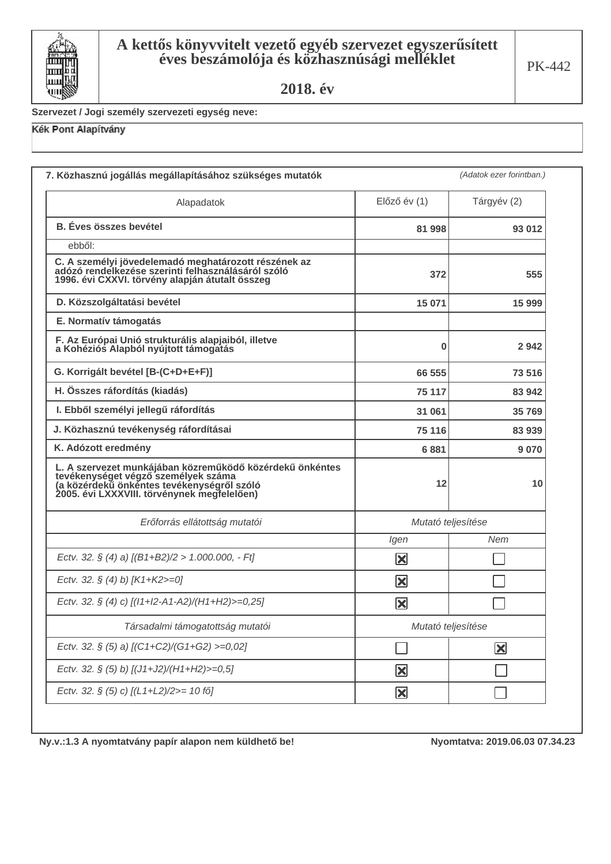

Szervezet / Jogi személy szervezeti egység neve:

### Kék Pont Alapítvány

| 7. Közhasznú jogállás megállapításához szükséges mutatók                                                                                                                                  |                         |                         |
|-------------------------------------------------------------------------------------------------------------------------------------------------------------------------------------------|-------------------------|-------------------------|
| Alapadatok                                                                                                                                                                                | $El$ őző év $(1)$       | Tárgyév (2)             |
| <b>B.</b> Éves összes bevétel                                                                                                                                                             | 81 998                  | 93 012                  |
| ebből:                                                                                                                                                                                    |                         |                         |
| C. A személyi jövedelemadó meghatározott részének az<br>adózó rendelkezése szerinti felhasználásáról szóló<br>1996. évi CXXVI. törvény alapján átutalt összeg                             | 372                     | 555                     |
| D. Közszolgáltatási bevétel                                                                                                                                                               | 15 071                  | 15 999                  |
| E. Normatív támogatás                                                                                                                                                                     |                         |                         |
| F. Az Európai Unió strukturális alapjaiból, illetve<br>a Kohéziós Alapból nyújtott támogatás                                                                                              | 0                       | 2942                    |
| G. Korrigált bevétel [B-(C+D+E+F)]                                                                                                                                                        | 66 555                  | 73 516                  |
| H. Összes ráfordítás (kiadás)                                                                                                                                                             | 75 117                  | 83 942                  |
| I. Ebből személyi jellegű ráfordítás                                                                                                                                                      | 31 061                  | 35 769                  |
| J. Közhasznú tevékenység ráfordításai                                                                                                                                                     | 75 116                  | 83 939                  |
| K. Adózott eredmény                                                                                                                                                                       | 6881                    | 9070                    |
| L. A szervezet munkájában közreműködő közérdekű önkéntes<br>en visztanulálja személyek száma<br>(a közérdekű önkéntes tevékenységről szóló<br>2005. évi LXXXVIII. törvénynek megfelelően) | 12                      | 10                      |
| Erőforrás ellátottság mutatói                                                                                                                                                             | Mutató teljesítése      |                         |
|                                                                                                                                                                                           | Igen                    | Nem                     |
| Ectv. 32. § (4) a) $[(B1+B2)/2 > 1.000.000, -Ft]$                                                                                                                                         | $\vert\mathbf{x}\vert$  |                         |
| Ectv. 32. § (4) b) [K1+K2>=0]                                                                                                                                                             | X                       |                         |
| Ectv. 32. § (4) c) [(11+12-A1-A2)/(H1+H2)>=0,25]                                                                                                                                          | $\vert\mathbf{x}\vert$  |                         |
| Társadalmi támogatottság mutatói                                                                                                                                                          | Mutató teljesítése      |                         |
| Ectv. 32. § (5) a) [(C1+C2)/(G1+G2) >=0,02]                                                                                                                                               |                         | $\mathbf{\overline{X}}$ |
| Ectv. 32. § (5) b) [(J1+J2)/(H1+H2)>=0,5]                                                                                                                                                 | $\mathbf{\Sigma}$       |                         |
| Ectv. 32. § (5) c) [(L1+L2)/2>= 10 fő]                                                                                                                                                    | $\mathbf{\overline{X}}$ |                         |

Ny.v.:1.3 A nyomtatvány papír alapon nem küldhető be!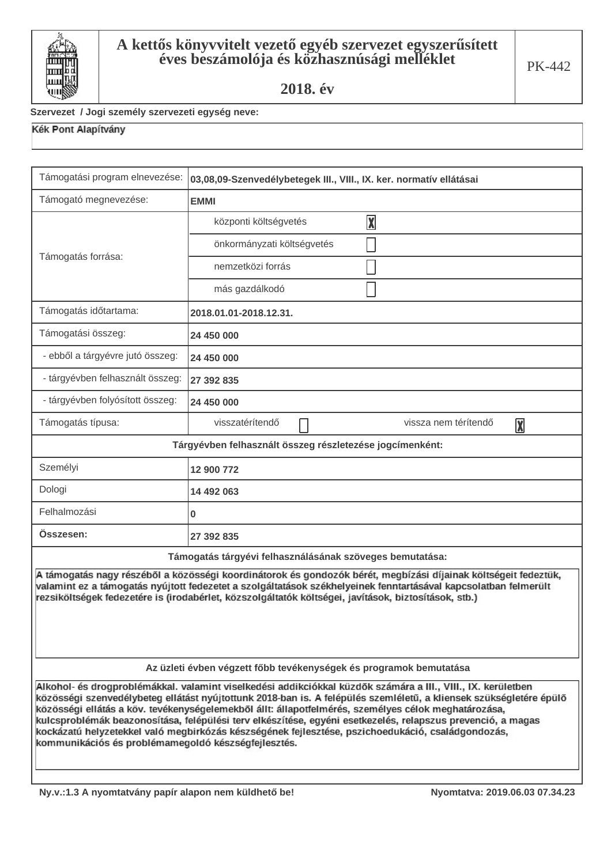

### Szervezet / Jogi személy szervezeti egység neve:

| Támogatási program elnevezése:                                                                                                                                                                                                                                                                                                                                                                                                                                                                                                                                                                                       | 03,08,09-Szenvedélybetegek III., VIII., IX. ker. normatív ellátásai |  |
|----------------------------------------------------------------------------------------------------------------------------------------------------------------------------------------------------------------------------------------------------------------------------------------------------------------------------------------------------------------------------------------------------------------------------------------------------------------------------------------------------------------------------------------------------------------------------------------------------------------------|---------------------------------------------------------------------|--|
| Támogató megnevezése:                                                                                                                                                                                                                                                                                                                                                                                                                                                                                                                                                                                                | <b>EMMI</b>                                                         |  |
| Támogatás forrása:                                                                                                                                                                                                                                                                                                                                                                                                                                                                                                                                                                                                   | $\boxed{\mathbf{X}}$<br>központi költségvetés                       |  |
|                                                                                                                                                                                                                                                                                                                                                                                                                                                                                                                                                                                                                      | önkormányzati költségvetés                                          |  |
|                                                                                                                                                                                                                                                                                                                                                                                                                                                                                                                                                                                                                      | nemzetközi forrás                                                   |  |
|                                                                                                                                                                                                                                                                                                                                                                                                                                                                                                                                                                                                                      | más gazdálkodó                                                      |  |
| Támogatás időtartama:                                                                                                                                                                                                                                                                                                                                                                                                                                                                                                                                                                                                | 2018.01.01-2018.12.31.                                              |  |
| Támogatási összeg:                                                                                                                                                                                                                                                                                                                                                                                                                                                                                                                                                                                                   | 24 450 000                                                          |  |
| - ebből a tárgyévre jutó összeg:                                                                                                                                                                                                                                                                                                                                                                                                                                                                                                                                                                                     | 24 450 000                                                          |  |
| - tárgyévben felhasznált összeg:                                                                                                                                                                                                                                                                                                                                                                                                                                                                                                                                                                                     | 27 392 835                                                          |  |
| - tárgyévben folyósított összeg:                                                                                                                                                                                                                                                                                                                                                                                                                                                                                                                                                                                     | 24 450 000                                                          |  |
| Támogatás típusa:                                                                                                                                                                                                                                                                                                                                                                                                                                                                                                                                                                                                    | visszatérítendő<br>vissza nem térítendő<br>$\boxed{\mathbf{X}}$     |  |
|                                                                                                                                                                                                                                                                                                                                                                                                                                                                                                                                                                                                                      | Tárgyévben felhasznált összeg részletezése jogcímenként:            |  |
| Személyi                                                                                                                                                                                                                                                                                                                                                                                                                                                                                                                                                                                                             | 12 900 772                                                          |  |
| Dologi                                                                                                                                                                                                                                                                                                                                                                                                                                                                                                                                                                                                               | 14 492 063                                                          |  |
| Felhalmozási                                                                                                                                                                                                                                                                                                                                                                                                                                                                                                                                                                                                         | 0                                                                   |  |
| Osszesen:                                                                                                                                                                                                                                                                                                                                                                                                                                                                                                                                                                                                            | 27 392 835                                                          |  |
| Támogatás tárgyévi felhasználásának szöveges bemutatása:                                                                                                                                                                                                                                                                                                                                                                                                                                                                                                                                                             |                                                                     |  |
| A támogatás nagy részéből a közösségi koordinátorok és gondozók bérét, megbízási díjainak költségeit fedeztük,<br>valamint ez a támogatás nyújtott fedezetet a szolgáltatások székhelyeinek fenntartásával kapcsolatban felmerült<br>rezsiköltségek fedezetére is (irodabérlet, közszolgáltatók költségei, javítások, biztosítások, stb.)                                                                                                                                                                                                                                                                            |                                                                     |  |
| Az üzleti évben végzett főbb tevékenységek és programok bemutatása                                                                                                                                                                                                                                                                                                                                                                                                                                                                                                                                                   |                                                                     |  |
| Alkohol- és drogproblémákkal. valamint viselkedési addikciókkal küzdők számára a III., VIII., IX. kerületben<br>közösségi szenvedélybeteg ellátást nyújtottunk 2018-ban is. A felépülés szemléletű, a kliensek szükségletére épülő<br>közösségi ellátás a köv. tevékenységelemekből állt: állapotfelmérés, személyes célok meghatározása,<br>kulcsproblémák beazonosítása, felépülési terv elkészítése, egyéni esetkezelés, relapszus prevenció, a magas<br>kockázatú helyzetekkel való megbirkózás készségének fejlesztése, pszichoedukáció, családgondozás,<br>kommunikációs és problémamegoldó készségfejlesztés. |                                                                     |  |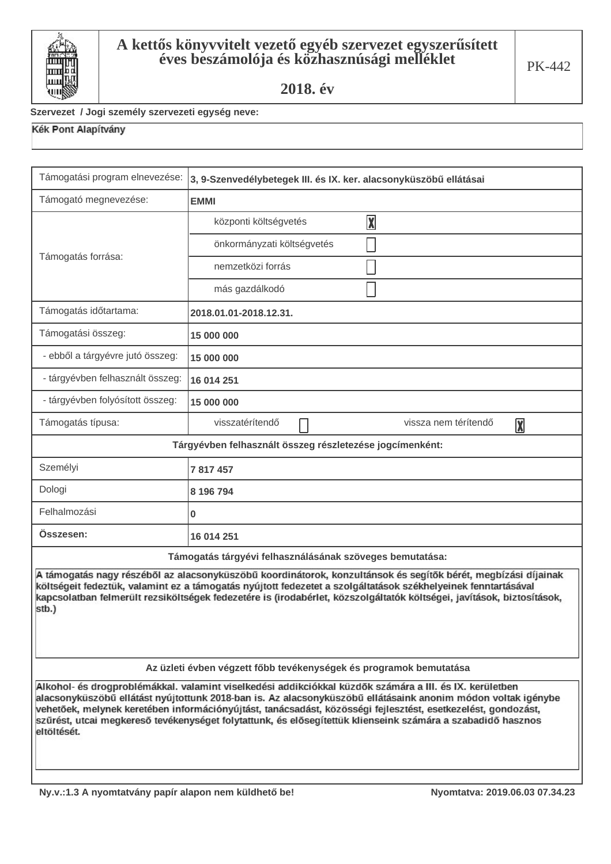

#### Szervezet / Jogi személy szervezeti egység neve:

| Támogatási program elnevezése:                                                                                                                                                                                                                                                                                                                                                                                                                                        | 3, 9-Szenvedélybetegek III. és IX. ker. alacsonyküszöbű ellátásai |  |
|-----------------------------------------------------------------------------------------------------------------------------------------------------------------------------------------------------------------------------------------------------------------------------------------------------------------------------------------------------------------------------------------------------------------------------------------------------------------------|-------------------------------------------------------------------|--|
| Támogató megnevezése:                                                                                                                                                                                                                                                                                                                                                                                                                                                 | <b>EMMI</b>                                                       |  |
|                                                                                                                                                                                                                                                                                                                                                                                                                                                                       | $\boxed{\mathbf{X}}$<br>központi költségvetés                     |  |
|                                                                                                                                                                                                                                                                                                                                                                                                                                                                       | önkormányzati költségvetés                                        |  |
| Támogatás forrása:                                                                                                                                                                                                                                                                                                                                                                                                                                                    | nemzetközi forrás                                                 |  |
|                                                                                                                                                                                                                                                                                                                                                                                                                                                                       | más gazdálkodó                                                    |  |
| Támogatás időtartama:                                                                                                                                                                                                                                                                                                                                                                                                                                                 | 2018.01.01-2018.12.31.                                            |  |
| Támogatási összeg:                                                                                                                                                                                                                                                                                                                                                                                                                                                    | 15 000 000                                                        |  |
| - ebből a tárgyévre jutó összeg:                                                                                                                                                                                                                                                                                                                                                                                                                                      | 15 000 000                                                        |  |
| - tárgyévben felhasznált összeg:                                                                                                                                                                                                                                                                                                                                                                                                                                      | 16 014 251                                                        |  |
| - tárgyévben folyósított összeg:                                                                                                                                                                                                                                                                                                                                                                                                                                      | 15 000 000                                                        |  |
| Támogatás típusa:                                                                                                                                                                                                                                                                                                                                                                                                                                                     | visszatérítendő<br>vissza nem térítendő<br>$\boxed{\mathbf{X}}$   |  |
|                                                                                                                                                                                                                                                                                                                                                                                                                                                                       | Tárgyévben felhasznált összeg részletezése jogcímenként:          |  |
| Személyi                                                                                                                                                                                                                                                                                                                                                                                                                                                              | 7 817 457                                                         |  |
| Dologi                                                                                                                                                                                                                                                                                                                                                                                                                                                                | 8 196 794                                                         |  |
| Felhalmozási                                                                                                                                                                                                                                                                                                                                                                                                                                                          | 0                                                                 |  |
| Osszesen:                                                                                                                                                                                                                                                                                                                                                                                                                                                             | 16 014 251                                                        |  |
| Támogatás tárgyévi felhasználásának szöveges bemutatása:                                                                                                                                                                                                                                                                                                                                                                                                              |                                                                   |  |
| A támogatás nagy részéből az alacsonyküszöbű koordinátorok, konzultánsok és segítők bérét, megbízási díjainak<br>költségeit fedeztük, valamint ez a támogatás nyújtott fedezetet a szolgáltatások székhelyeinek fenntartásával<br>kapcsolatban felmerült rezsiköltségek fedezetére is (irodabérlet, közszolgáltatók költségei, javítások, biztosítások,<br>stb.)                                                                                                      |                                                                   |  |
| Az üzleti évben végzett főbb tevékenységek és programok bemutatása                                                                                                                                                                                                                                                                                                                                                                                                    |                                                                   |  |
| Alkohol- és drogproblémákkal. valamint viselkedési addikciókkal küzdők számára a III. és IX. kerületben<br>alacsonyküszöbű ellátást nyújtottunk 2018-ban is. Az alacsonyküszöbű ellátásaink anonim módon voltak igénybe<br>vehetőek, melynek keretében információnyújtást, tanácsadást, közösségi fejlesztést, esetkezelést, gondozást,<br>szűrést, utcai megkereső tevékenységet folytattunk, és elősegítettük klienseink számára a szabadidő hasznos<br>eltöltését. |                                                                   |  |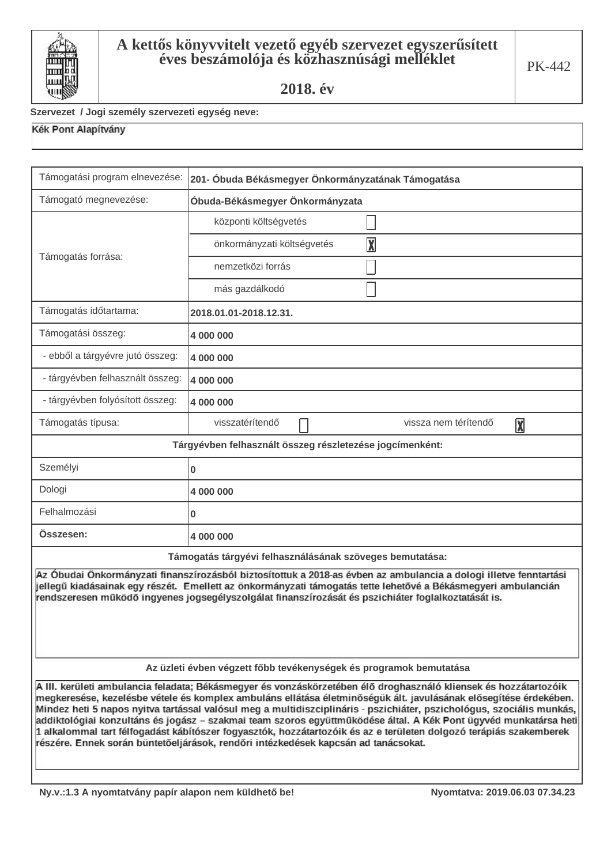

#### Szervezet / Jogi személy szervezeti egység neve:

| Támogatási program elnevezése:                                                                                                                                                                                                                                                                                                                                                                                                                                                                                                                                                                                                                                                                | 201- Óbuda Békásmegyer Önkormányzatának Támogatása       |  |
|-----------------------------------------------------------------------------------------------------------------------------------------------------------------------------------------------------------------------------------------------------------------------------------------------------------------------------------------------------------------------------------------------------------------------------------------------------------------------------------------------------------------------------------------------------------------------------------------------------------------------------------------------------------------------------------------------|----------------------------------------------------------|--|
| Támogató megnevezése:                                                                                                                                                                                                                                                                                                                                                                                                                                                                                                                                                                                                                                                                         | Óbuda-Békásmegyer Önkormányzata                          |  |
| Támogatás forrása:                                                                                                                                                                                                                                                                                                                                                                                                                                                                                                                                                                                                                                                                            | központi költségvetés                                    |  |
|                                                                                                                                                                                                                                                                                                                                                                                                                                                                                                                                                                                                                                                                                               | $\overline{\mathbf{X}}$<br>önkormányzati költségvetés    |  |
|                                                                                                                                                                                                                                                                                                                                                                                                                                                                                                                                                                                                                                                                                               | nemzetközi forrás                                        |  |
|                                                                                                                                                                                                                                                                                                                                                                                                                                                                                                                                                                                                                                                                                               | más gazdálkodó                                           |  |
| Támogatás időtartama:                                                                                                                                                                                                                                                                                                                                                                                                                                                                                                                                                                                                                                                                         | 2018.01.01-2018.12.31.                                   |  |
| Támogatási összeg:                                                                                                                                                                                                                                                                                                                                                                                                                                                                                                                                                                                                                                                                            | 4 000 000                                                |  |
| - ebből a tárgyévre jutó összeg:                                                                                                                                                                                                                                                                                                                                                                                                                                                                                                                                                                                                                                                              | 4 000 000                                                |  |
| - tárgyévben felhasznált összeg:                                                                                                                                                                                                                                                                                                                                                                                                                                                                                                                                                                                                                                                              | 4 000 000                                                |  |
| - tárgyévben folyósított összeg:                                                                                                                                                                                                                                                                                                                                                                                                                                                                                                                                                                                                                                                              | 4 000 000                                                |  |
| Támogatás típusa:                                                                                                                                                                                                                                                                                                                                                                                                                                                                                                                                                                                                                                                                             | visszatérítendő<br>vissza nem térítendő<br>X             |  |
|                                                                                                                                                                                                                                                                                                                                                                                                                                                                                                                                                                                                                                                                                               | Tárgyévben felhasznált összeg részletezése jogcímenként: |  |
| Személyi                                                                                                                                                                                                                                                                                                                                                                                                                                                                                                                                                                                                                                                                                      | 0                                                        |  |
| Dologi                                                                                                                                                                                                                                                                                                                                                                                                                                                                                                                                                                                                                                                                                        | 4 000 000                                                |  |
| Felhalmozási                                                                                                                                                                                                                                                                                                                                                                                                                                                                                                                                                                                                                                                                                  | 0                                                        |  |
| Osszesen:                                                                                                                                                                                                                                                                                                                                                                                                                                                                                                                                                                                                                                                                                     | 4 000 000                                                |  |
| Támogatás tárgyévi felhasználásának szöveges bemutatása:                                                                                                                                                                                                                                                                                                                                                                                                                                                                                                                                                                                                                                      |                                                          |  |
| Az Óbudai Önkormányzati finanszírozásból biztosítottuk a 2018-as évben az ambulancia a dologi illetve fenntartási<br>jellegű kiadásainak egy részét. Emellett az önkormányzati támogatás tette lehetővé a Békásmegyeri ambulancián<br>rendszeresen működő ingyenes jogsegélyszolgálat finanszírozását és pszichiáter foglalkoztatását is.                                                                                                                                                                                                                                                                                                                                                     |                                                          |  |
| Az üzleti évben végzett főbb tevékenységek és programok bemutatása                                                                                                                                                                                                                                                                                                                                                                                                                                                                                                                                                                                                                            |                                                          |  |
| A III. kerületi ambulancia feladata; Békásmegyer és vonzáskörzetében élő droghasználó kliensek és hozzátartozóik<br>megkeresése, kezelésbe vétele és komplex ambuláns ellátása életminőségük ált. javulásának elősegítése érdekében.<br>Mindez heti 5 napos nyitva tartással valósul meg a multidiszciplináris - pszichiáter, pszichológus, szociális munkás,<br>addiktológiai konzultáns és jogász – szakmai team szoros együttműködése által. A Kék Pont ügyvéd munkatársa heti<br>1 alkalommal tart félfogadást kábítószer fogyasztók, hozzátartozóik és az e területen dolgozó terápiás szakemberek<br>részére. Ennek során büntetőeljárások, rendőri intézkedések kapcsán ad tanácsokat. |                                                          |  |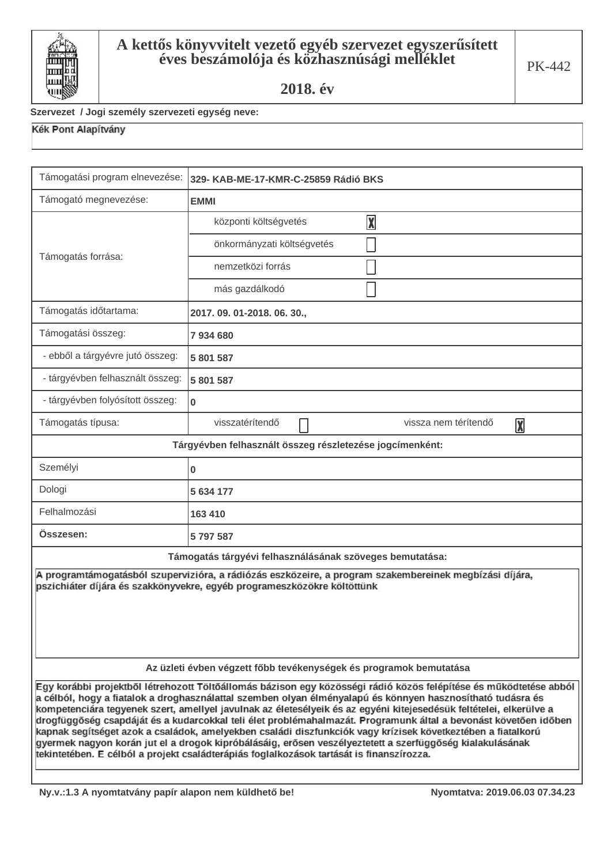

#### Szervezet / Jogi személy szervezeti egység neve:

| Támogatási program elnevezése:                                                                                                                                                                                                                                                                                                                                                                                                                                                                                                                                                                                                                                                                                                                                                                  | 329- KAB-ME-17-KMR-C-25859 Rádió BKS                     |  |
|-------------------------------------------------------------------------------------------------------------------------------------------------------------------------------------------------------------------------------------------------------------------------------------------------------------------------------------------------------------------------------------------------------------------------------------------------------------------------------------------------------------------------------------------------------------------------------------------------------------------------------------------------------------------------------------------------------------------------------------------------------------------------------------------------|----------------------------------------------------------|--|
| Támogató megnevezése:                                                                                                                                                                                                                                                                                                                                                                                                                                                                                                                                                                                                                                                                                                                                                                           | <b>EMMI</b>                                              |  |
|                                                                                                                                                                                                                                                                                                                                                                                                                                                                                                                                                                                                                                                                                                                                                                                                 | $\overline{\mathbf{X}}$<br>központi költségvetés         |  |
|                                                                                                                                                                                                                                                                                                                                                                                                                                                                                                                                                                                                                                                                                                                                                                                                 | önkormányzati költségvetés                               |  |
| Támogatás forrása:                                                                                                                                                                                                                                                                                                                                                                                                                                                                                                                                                                                                                                                                                                                                                                              | nemzetközi forrás                                        |  |
|                                                                                                                                                                                                                                                                                                                                                                                                                                                                                                                                                                                                                                                                                                                                                                                                 | más gazdálkodó                                           |  |
| Támogatás időtartama:                                                                                                                                                                                                                                                                                                                                                                                                                                                                                                                                                                                                                                                                                                                                                                           | 2017.09.01-2018.06.30.,                                  |  |
| Támogatási összeg:                                                                                                                                                                                                                                                                                                                                                                                                                                                                                                                                                                                                                                                                                                                                                                              | 7934680                                                  |  |
| - ebből a tárgyévre jutó összeg:                                                                                                                                                                                                                                                                                                                                                                                                                                                                                                                                                                                                                                                                                                                                                                | 5 801 587                                                |  |
| - tárgyévben felhasznált összeg:                                                                                                                                                                                                                                                                                                                                                                                                                                                                                                                                                                                                                                                                                                                                                                | 5 801 587                                                |  |
| - tárgyévben folyósított összeg:                                                                                                                                                                                                                                                                                                                                                                                                                                                                                                                                                                                                                                                                                                                                                                | 0                                                        |  |
| Támogatás típusa:                                                                                                                                                                                                                                                                                                                                                                                                                                                                                                                                                                                                                                                                                                                                                                               | visszatérítendő<br>vissza nem térítendő<br>X             |  |
|                                                                                                                                                                                                                                                                                                                                                                                                                                                                                                                                                                                                                                                                                                                                                                                                 | Tárgyévben felhasznált összeg részletezése jogcímenként: |  |
| Személyi                                                                                                                                                                                                                                                                                                                                                                                                                                                                                                                                                                                                                                                                                                                                                                                        | 0                                                        |  |
| Dologi                                                                                                                                                                                                                                                                                                                                                                                                                                                                                                                                                                                                                                                                                                                                                                                          | 5 634 177                                                |  |
| Felhalmozási                                                                                                                                                                                                                                                                                                                                                                                                                                                                                                                                                                                                                                                                                                                                                                                    | 163 410                                                  |  |
| Összesen:                                                                                                                                                                                                                                                                                                                                                                                                                                                                                                                                                                                                                                                                                                                                                                                       | 5797587                                                  |  |
|                                                                                                                                                                                                                                                                                                                                                                                                                                                                                                                                                                                                                                                                                                                                                                                                 | Támogatás tárgyévi felhasználásának szöveges bemutatása: |  |
| A programtámogatásból szupervizióra, a rádiózás eszközeire, a program szakembereinek megbízási díjára,<br>pszichiáter díjára és szakkönyvekre, egyéb programeszközökre költöttünk                                                                                                                                                                                                                                                                                                                                                                                                                                                                                                                                                                                                               |                                                          |  |
| Az üzleti évben végzett főbb tevékenységek és programok bemutatása                                                                                                                                                                                                                                                                                                                                                                                                                                                                                                                                                                                                                                                                                                                              |                                                          |  |
| Egy korábbi projektből létrehozott Töltőállomás bázison egy közösségi rádió közös felépítése és működtetése abból<br>a célból, hogy a fiatalok a droghasználattal szemben olyan élményalapú és könnyen hasznosítható tudásra és<br>kompetenciára tegyenek szert, amellyel javulnak az életesélyeik és az egyéni kitejesedésük feltételei, elkerülve a<br>drogfüggőség csapdáját és a kudarcokkal teli élet problémahalmazát. Programunk által a bevonást követően időben<br>kapnak segítséget azok a családok, amelyekben családi diszfunkciók vagy krízisek következtében a fiatalkorú<br>gyermek nagyon korán jut el a drogok kipróbálásáig, erősen veszélyeztetett a szerfüggőség kialakulásának<br>tekintetében. E célból a projekt családterápiás foglalkozások tartását is finanszírozza. |                                                          |  |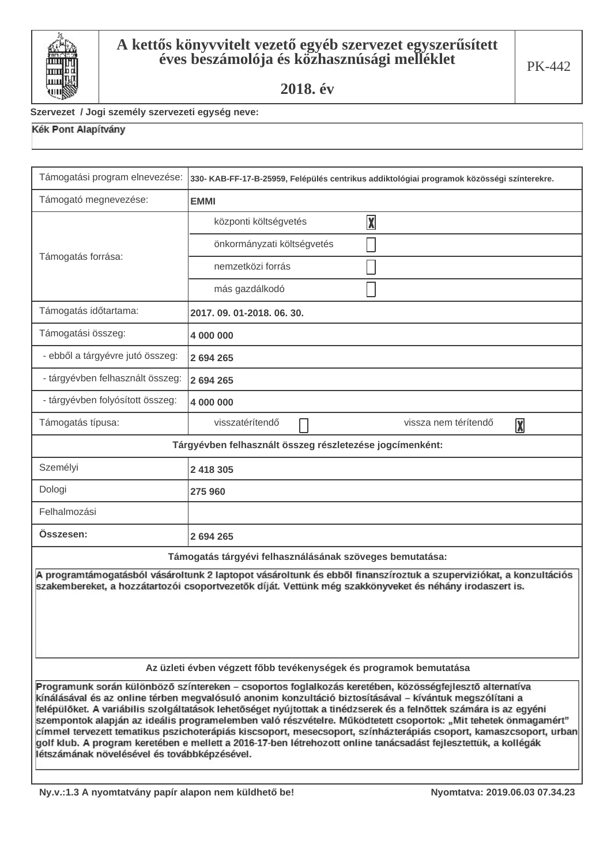

#### Szervezet / Jogi személy szervezeti egység neve:

| Támogatási program elnevezése:                                                                                                                                                                                                                                                                                                                                                                                                                                                                                                                                                                                                                                                                                                                    | 330- KAB-FF-17-B-25959, Felépülés centrikus addiktológiai programok közösségi színterekre. |  |
|---------------------------------------------------------------------------------------------------------------------------------------------------------------------------------------------------------------------------------------------------------------------------------------------------------------------------------------------------------------------------------------------------------------------------------------------------------------------------------------------------------------------------------------------------------------------------------------------------------------------------------------------------------------------------------------------------------------------------------------------------|--------------------------------------------------------------------------------------------|--|
| Támogató megnevezése:                                                                                                                                                                                                                                                                                                                                                                                                                                                                                                                                                                                                                                                                                                                             | <b>EMMI</b>                                                                                |  |
|                                                                                                                                                                                                                                                                                                                                                                                                                                                                                                                                                                                                                                                                                                                                                   | $\boxed{\mathbf{X}}$<br>központi költségvetés                                              |  |
|                                                                                                                                                                                                                                                                                                                                                                                                                                                                                                                                                                                                                                                                                                                                                   | önkormányzati költségvetés                                                                 |  |
| Támogatás forrása:                                                                                                                                                                                                                                                                                                                                                                                                                                                                                                                                                                                                                                                                                                                                | nemzetközi forrás                                                                          |  |
|                                                                                                                                                                                                                                                                                                                                                                                                                                                                                                                                                                                                                                                                                                                                                   | más gazdálkodó                                                                             |  |
| Támogatás időtartama:                                                                                                                                                                                                                                                                                                                                                                                                                                                                                                                                                                                                                                                                                                                             | 2017.09.01-2018.06.30.                                                                     |  |
| Támogatási összeg:                                                                                                                                                                                                                                                                                                                                                                                                                                                                                                                                                                                                                                                                                                                                | 4 000 000                                                                                  |  |
| - ebből a tárgyévre jutó összeg:                                                                                                                                                                                                                                                                                                                                                                                                                                                                                                                                                                                                                                                                                                                  | 2 694 265                                                                                  |  |
| - tárgyévben felhasznált összeg:                                                                                                                                                                                                                                                                                                                                                                                                                                                                                                                                                                                                                                                                                                                  | 2 694 265                                                                                  |  |
| - tárgyévben folyósított összeg:                                                                                                                                                                                                                                                                                                                                                                                                                                                                                                                                                                                                                                                                                                                  | 4 000 000                                                                                  |  |
| Támogatás típusa:                                                                                                                                                                                                                                                                                                                                                                                                                                                                                                                                                                                                                                                                                                                                 | visszatérítendő<br>vissza nem térítendő<br>$\sqrt{\mathbf{X}}$                             |  |
|                                                                                                                                                                                                                                                                                                                                                                                                                                                                                                                                                                                                                                                                                                                                                   | Tárgyévben felhasznált összeg részletezése jogcímenként:                                   |  |
| Személyi                                                                                                                                                                                                                                                                                                                                                                                                                                                                                                                                                                                                                                                                                                                                          | 2 418 305                                                                                  |  |
| Dologi                                                                                                                                                                                                                                                                                                                                                                                                                                                                                                                                                                                                                                                                                                                                            | 275 960                                                                                    |  |
| Felhalmozási                                                                                                                                                                                                                                                                                                                                                                                                                                                                                                                                                                                                                                                                                                                                      |                                                                                            |  |
| Osszesen:                                                                                                                                                                                                                                                                                                                                                                                                                                                                                                                                                                                                                                                                                                                                         | 2 694 265                                                                                  |  |
| Támogatás tárgyévi felhasználásának szöveges bemutatása:                                                                                                                                                                                                                                                                                                                                                                                                                                                                                                                                                                                                                                                                                          |                                                                                            |  |
| A programtámogatásból vásároltunk 2 laptopot vásároltunk és ebből finanszíroztuk a szuperviziókat, a konzultációs<br>szakembereket, a hozzátartozói csoportvezetők díját. Vettünk még szakkönyveket és néhány irodaszert is.                                                                                                                                                                                                                                                                                                                                                                                                                                                                                                                      |                                                                                            |  |
| Az üzleti évben végzett főbb tevékenységek és programok bemutatása                                                                                                                                                                                                                                                                                                                                                                                                                                                                                                                                                                                                                                                                                |                                                                                            |  |
| Programunk során különböző színtereken - csoportos foglalkozás keretében, közösségfejlesztő alternatíva<br>kínálásával és az online térben megvalósuló anonim konzultáció biztosításával – kívántuk megszólítani a<br>felépülőket. A variábilis szolgáltatások lehetőséget nyújtottak a tinédzserek és a felnőttek számára is az egyéni<br>szempontok alapján az ideális programelemben való részvételre. Működtetett csoportok: "Mit tehetek önmagamért"<br>címmel tervezett tematikus pszichoterápiás kiscsoport, mesecsoport, színházterápiás csoport, kamaszcsoport, urban<br>golf klub. A program keretében e mellett a 2016-17-ben létrehozott online tanácsadást fejlesztettük, a kollégák<br>létszámának növelésével és továbbkénzésével. |                                                                                            |  |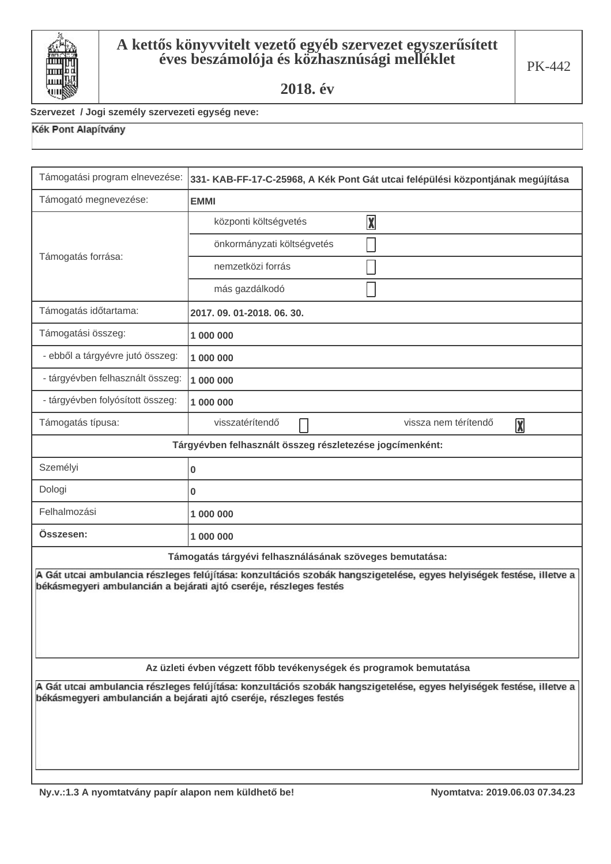

### Szervezet / Jogi személy szervezeti egység neve:

| Támogatási program elnevezése:                                                                                                                                                              | 331- KAB-FF-17-C-25968, A Kék Pont Gát utcai felépülési központjának megújítása                                                                                                             |  |
|---------------------------------------------------------------------------------------------------------------------------------------------------------------------------------------------|---------------------------------------------------------------------------------------------------------------------------------------------------------------------------------------------|--|
| Támogató megnevezése:                                                                                                                                                                       | <b>EMMI</b>                                                                                                                                                                                 |  |
|                                                                                                                                                                                             | $\overline{\mathbf{X}}$<br>központi költségvetés                                                                                                                                            |  |
|                                                                                                                                                                                             | önkormányzati költségvetés                                                                                                                                                                  |  |
| Támogatás forrása:                                                                                                                                                                          | nemzetközi forrás                                                                                                                                                                           |  |
|                                                                                                                                                                                             | más gazdálkodó                                                                                                                                                                              |  |
| Támogatás időtartama:                                                                                                                                                                       | 2017, 09, 01-2018, 06, 30,                                                                                                                                                                  |  |
| Támogatási összeg:                                                                                                                                                                          | 1 000 000                                                                                                                                                                                   |  |
| - ebből a tárgyévre jutó összeg:                                                                                                                                                            | 1 000 000                                                                                                                                                                                   |  |
| - tárgyévben felhasznált összeg:                                                                                                                                                            | 1 000 000                                                                                                                                                                                   |  |
| - tárgyévben folyósított összeg:                                                                                                                                                            | 1 000 000                                                                                                                                                                                   |  |
| Támogatás típusa:                                                                                                                                                                           | visszatérítendő<br>vissza nem térítendő<br>$\boxed{\mathbf{X}}$                                                                                                                             |  |
|                                                                                                                                                                                             | Tárgyévben felhasznált összeg részletezése jogcímenként:                                                                                                                                    |  |
| Személyi                                                                                                                                                                                    | 0                                                                                                                                                                                           |  |
| Dologi                                                                                                                                                                                      | 0                                                                                                                                                                                           |  |
| Felhalmozási                                                                                                                                                                                | 1 000 000                                                                                                                                                                                   |  |
| Összesen:                                                                                                                                                                                   | 1 000 000                                                                                                                                                                                   |  |
| Támogatás tárgyévi felhasználásának szöveges bemutatása:                                                                                                                                    |                                                                                                                                                                                             |  |
|                                                                                                                                                                                             | A Gát utcai ambulancia részleges felújítása: konzultációs szobák hangszigetelése, egyes helyiségek festése, illetve a<br>békásmegyeri ambulancián a bejárati ajtó cseréje, részleges festés |  |
|                                                                                                                                                                                             |                                                                                                                                                                                             |  |
|                                                                                                                                                                                             |                                                                                                                                                                                             |  |
|                                                                                                                                                                                             |                                                                                                                                                                                             |  |
| Az üzleti évben végzett főbb tevékenységek és programok bemutatása                                                                                                                          |                                                                                                                                                                                             |  |
| A Gát utcai ambulancia részleges felújítása: konzultációs szobák hangszigetelése, egyes helyiségek festése, illetve a<br>békásmegyeri ambulancián a bejárati ajtó cseréje, részleges festés |                                                                                                                                                                                             |  |
|                                                                                                                                                                                             |                                                                                                                                                                                             |  |
|                                                                                                                                                                                             |                                                                                                                                                                                             |  |
|                                                                                                                                                                                             |                                                                                                                                                                                             |  |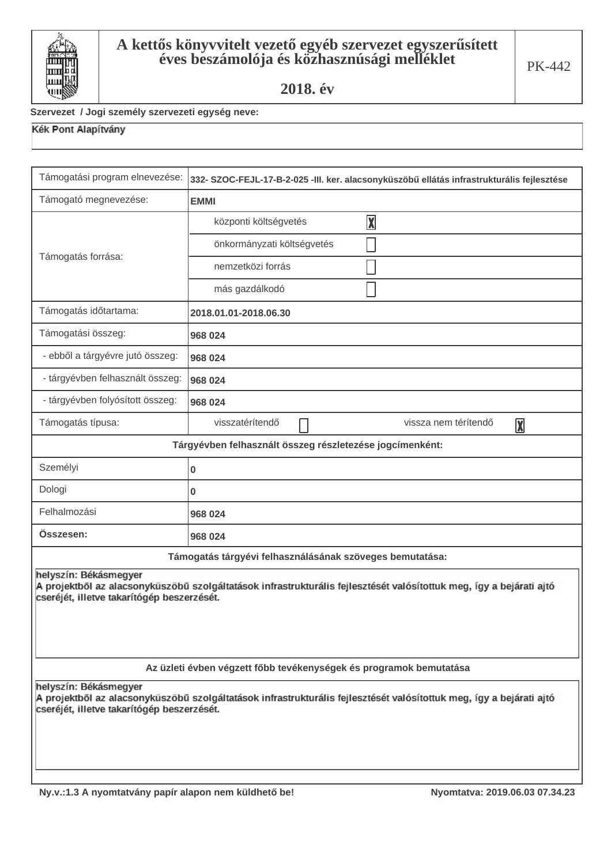

#### Szervezet / Jogi személy szervezeti egység neve:

| Támogatási program elnevezése:                                                                                                                                                             | 332- SZOC-FEJL-17-B-2-025 -III. ker. alacsonyküszöbű ellátás infrastrukturális fejlesztése |  |
|--------------------------------------------------------------------------------------------------------------------------------------------------------------------------------------------|--------------------------------------------------------------------------------------------|--|
| Támogató megnevezése:                                                                                                                                                                      | <b>EMMI</b>                                                                                |  |
| Támogatás forrása:                                                                                                                                                                         | $\overline{\mathbf{X}}$<br>központi költségvetés                                           |  |
|                                                                                                                                                                                            | önkormányzati költségvetés                                                                 |  |
|                                                                                                                                                                                            | nemzetközi forrás                                                                          |  |
|                                                                                                                                                                                            | más gazdálkodó                                                                             |  |
| Támogatás időtartama:                                                                                                                                                                      | 2018.01.01-2018.06.30                                                                      |  |
| Támogatási összeg:                                                                                                                                                                         | 968 024                                                                                    |  |
| - ebből a tárgyévre jutó összeg:                                                                                                                                                           | 968 024                                                                                    |  |
| - tárgyévben felhasznált összeg:                                                                                                                                                           | 968 024                                                                                    |  |
| - tárgyévben folyósított összeg:                                                                                                                                                           | 968 024                                                                                    |  |
| Támogatás típusa:                                                                                                                                                                          | visszatérítendő<br>vissza nem térítendő<br>X                                               |  |
|                                                                                                                                                                                            | Tárgyévben felhasznált összeg részletezése jogcímenként:                                   |  |
| Személyi                                                                                                                                                                                   | 0                                                                                          |  |
| Dologi                                                                                                                                                                                     | 0                                                                                          |  |
| Felhalmozási                                                                                                                                                                               | 968 024                                                                                    |  |
| Összesen:                                                                                                                                                                                  | 968 024                                                                                    |  |
|                                                                                                                                                                                            | Támogatás tárgyévi felhasználásának szöveges bemutatása:                                   |  |
| helyszín: Békásmegyer<br>A projektből az alacsonyküszöbű szolgáltatások infrastrukturális fejlesztését valósítottuk meg, így a bejárati ajtó<br>cseréjét, illetve takarítógép beszerzését. |                                                                                            |  |
| Az üzleti évben végzett főbb tevékenységek és programok bemutatása                                                                                                                         |                                                                                            |  |
| helyszín: Békásmegyer<br>A projektből az alacsonyküszöbű szolgáltatások infrastrukturális fejlesztését valósítottuk meg, így a bejárati ajtó<br>cseréjét, illetve takarítógép beszerzését. |                                                                                            |  |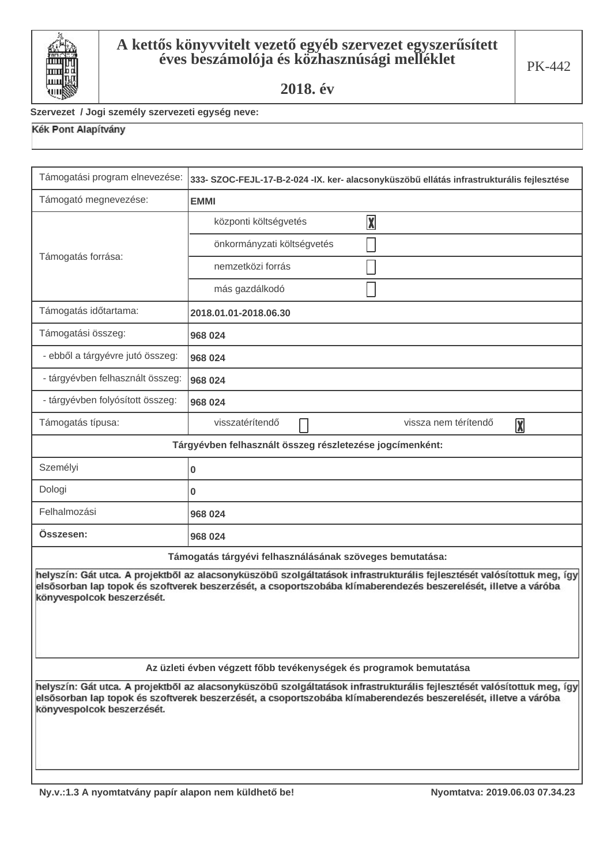

#### Szervezet / Jogi személy szervezeti egység neve:

| Támogatási program elnevezése:                                                                                                                                                                                                                                           | 333- SZOC-FEJL-17-B-2-024 -IX. ker- alacsonyküszöbű ellátás infrastrukturális fejlesztése |  |
|--------------------------------------------------------------------------------------------------------------------------------------------------------------------------------------------------------------------------------------------------------------------------|-------------------------------------------------------------------------------------------|--|
| Támogató megnevezése:                                                                                                                                                                                                                                                    | <b>EMMI</b>                                                                               |  |
|                                                                                                                                                                                                                                                                          | $\boxed{\text{X}}$<br>központi költségvetés                                               |  |
|                                                                                                                                                                                                                                                                          | önkormányzati költségvetés                                                                |  |
| Támogatás forrása:                                                                                                                                                                                                                                                       | nemzetközi forrás                                                                         |  |
|                                                                                                                                                                                                                                                                          | más gazdálkodó                                                                            |  |
| Támogatás időtartama:                                                                                                                                                                                                                                                    | 2018.01.01-2018.06.30                                                                     |  |
| Támogatási összeg:                                                                                                                                                                                                                                                       | 968 024                                                                                   |  |
| - ebből a tárgyévre jutó összeg:                                                                                                                                                                                                                                         | 968 024                                                                                   |  |
| - tárgyévben felhasznált összeg:                                                                                                                                                                                                                                         | 968 024                                                                                   |  |
| - tárgyévben folyósított összeg:                                                                                                                                                                                                                                         | 968 024                                                                                   |  |
| Támogatás típusa:                                                                                                                                                                                                                                                        | visszatérítendő<br>vissza nem térítendő<br>X                                              |  |
|                                                                                                                                                                                                                                                                          | Tárgyévben felhasznált összeg részletezése jogcímenként:                                  |  |
| Személyi                                                                                                                                                                                                                                                                 | 0                                                                                         |  |
| Dologi                                                                                                                                                                                                                                                                   | 0                                                                                         |  |
| Felhalmozási                                                                                                                                                                                                                                                             | 968 024                                                                                   |  |
| Osszesen:                                                                                                                                                                                                                                                                | 968 024                                                                                   |  |
| Támogatás tárgyévi felhasználásának szöveges bemutatása:                                                                                                                                                                                                                 |                                                                                           |  |
| helyszín: Gát utca. A projektből az alacsonyküszöbű szolgáltatások infrastrukturális fejlesztését valósítottuk meg, így<br>elsősorban lap topok és szoftverek beszerzését, a csoportszobába klímaberendezés beszerelését, illetve a váróba<br>könyvespolcok beszerzését. |                                                                                           |  |
| Az üzleti évben végzett főbb tevékenységek és programok bemutatása                                                                                                                                                                                                       |                                                                                           |  |
| helyszín: Gát utca. A projektből az alacsonyküszöbű szolgáltatások infrastrukturális fejlesztését valósítottuk meg, így<br>elsősorban lap topok és szoftverek beszerzését, a csoportszobába klímaberendezés beszerelését, illetve a váróba<br>könyvespolcok beszerzését. |                                                                                           |  |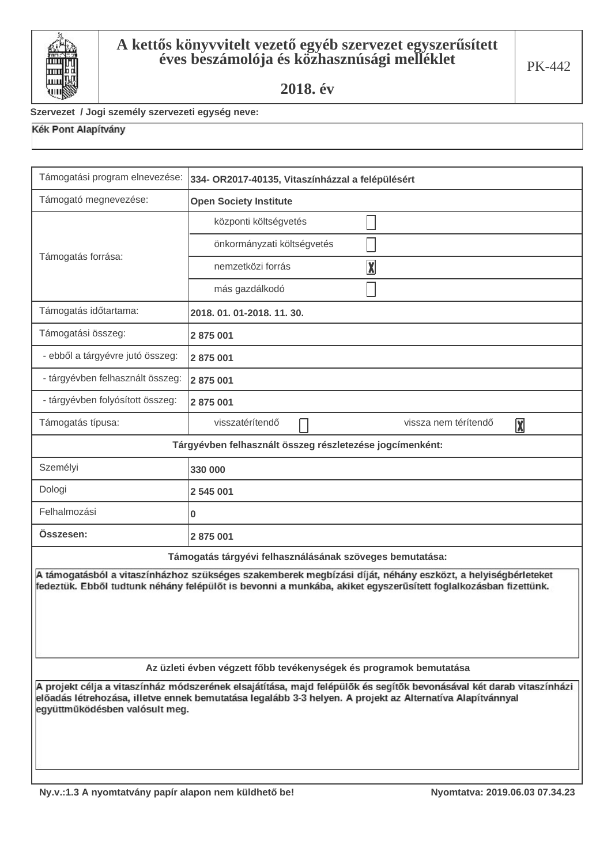

#### Szervezet / Jogi személy szervezeti egység neve:

| Támogatási program elnevezése:                                                                                                                                                                                                                                      | 334- OR2017-40135, Vitaszínházzal a felépülésért                   |  |  |  |
|---------------------------------------------------------------------------------------------------------------------------------------------------------------------------------------------------------------------------------------------------------------------|--------------------------------------------------------------------|--|--|--|
| Támogató megnevezése:                                                                                                                                                                                                                                               | <b>Open Society Institute</b>                                      |  |  |  |
|                                                                                                                                                                                                                                                                     | központi költségvetés                                              |  |  |  |
|                                                                                                                                                                                                                                                                     | önkormányzati költségvetés                                         |  |  |  |
| Támogatás forrása:                                                                                                                                                                                                                                                  | $\overline{\mathbf{X}}$<br>nemzetközi forrás                       |  |  |  |
|                                                                                                                                                                                                                                                                     | más gazdálkodó                                                     |  |  |  |
| Támogatás időtartama:                                                                                                                                                                                                                                               | 2018. 01. 01-2018. 11. 30.                                         |  |  |  |
| Támogatási összeg:                                                                                                                                                                                                                                                  | 2875001                                                            |  |  |  |
| - ebből a tárgyévre jutó összeg:                                                                                                                                                                                                                                    | 2 875 001                                                          |  |  |  |
| - tárgyévben felhasznált összeg:                                                                                                                                                                                                                                    | 2875001                                                            |  |  |  |
| - tárgyévben folyósított összeg:                                                                                                                                                                                                                                    | 2875001                                                            |  |  |  |
| Támogatás típusa:                                                                                                                                                                                                                                                   | visszatérítendő<br>vissza nem térítendő<br>$\overline{\mathbf{X}}$ |  |  |  |
| Tárgyévben felhasznált összeg részletezése jogcímenként:                                                                                                                                                                                                            |                                                                    |  |  |  |
| Személyi                                                                                                                                                                                                                                                            | 330 000                                                            |  |  |  |
| Dologi                                                                                                                                                                                                                                                              | 2 545 001                                                          |  |  |  |
| Felhalmozási                                                                                                                                                                                                                                                        | 0                                                                  |  |  |  |
| Összesen:                                                                                                                                                                                                                                                           | 2 875 001                                                          |  |  |  |
|                                                                                                                                                                                                                                                                     | Támogatás tárgyévi felhasználásának szöveges bemutatása:           |  |  |  |
| A támogatásból a vitaszínházhoz szükséges szakemberek megbízási díját, néhány eszközt, a helyiségbérleteket<br>fedeztük. Ebből tudtunk néhány felépülőt is bevonni a munkába, akiket egyszerűsített foglalkozásban fizettünk.                                       |                                                                    |  |  |  |
| Az üzleti évben végzett főbb tevékenységek és programok bemutatása                                                                                                                                                                                                  |                                                                    |  |  |  |
| A projekt célja a vitaszínház módszerének elsajátítása, majd felépülők és segítők bevonásával két darab vitaszínházi<br>előadás létrehozása, illetve ennek bemutatása legalább 3-3 helyen. A projekt az Alternatíva Alapítvánnyal<br>együttműködésben valósult meg. |                                                                    |  |  |  |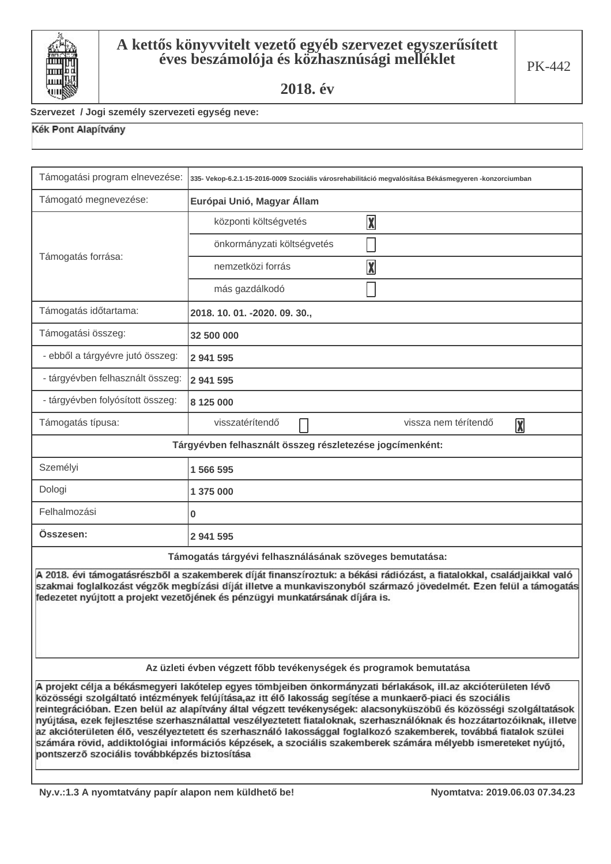

#### Szervezet / Jogi személy szervezeti egység neve:

| Támogatási program elnevezése:                                                                                                                                                                                                                                                                                                                                                                                                                                                                                                                                                                                                                                                                                                                                      | 335- Vekop-6.2.1-15-2016-0009 Szociális városrehabilitáció megvalósítása Békásmegyeren -konzorciumban |  |  |  |
|---------------------------------------------------------------------------------------------------------------------------------------------------------------------------------------------------------------------------------------------------------------------------------------------------------------------------------------------------------------------------------------------------------------------------------------------------------------------------------------------------------------------------------------------------------------------------------------------------------------------------------------------------------------------------------------------------------------------------------------------------------------------|-------------------------------------------------------------------------------------------------------|--|--|--|
| Támogató megnevezése:                                                                                                                                                                                                                                                                                                                                                                                                                                                                                                                                                                                                                                                                                                                                               | Európai Unió, Magyar Állam                                                                            |  |  |  |
|                                                                                                                                                                                                                                                                                                                                                                                                                                                                                                                                                                                                                                                                                                                                                                     | $\boxed{\text{X}}$<br>központi költségvetés                                                           |  |  |  |
|                                                                                                                                                                                                                                                                                                                                                                                                                                                                                                                                                                                                                                                                                                                                                                     | önkormányzati költségvetés                                                                            |  |  |  |
| Támogatás forrása:                                                                                                                                                                                                                                                                                                                                                                                                                                                                                                                                                                                                                                                                                                                                                  | $\boxed{\text{X}}$<br>nemzetközi forrás                                                               |  |  |  |
|                                                                                                                                                                                                                                                                                                                                                                                                                                                                                                                                                                                                                                                                                                                                                                     | más gazdálkodó                                                                                        |  |  |  |
| Támogatás időtartama:                                                                                                                                                                                                                                                                                                                                                                                                                                                                                                                                                                                                                                                                                                                                               | 2018. 10. 01. -2020. 09. 30.,                                                                         |  |  |  |
| Támogatási összeg:                                                                                                                                                                                                                                                                                                                                                                                                                                                                                                                                                                                                                                                                                                                                                  | 32 500 000                                                                                            |  |  |  |
| - ebből a tárgyévre jutó összeg:                                                                                                                                                                                                                                                                                                                                                                                                                                                                                                                                                                                                                                                                                                                                    | 2 941 595                                                                                             |  |  |  |
| - tárgyévben felhasznált összeg:                                                                                                                                                                                                                                                                                                                                                                                                                                                                                                                                                                                                                                                                                                                                    | 2 941 595                                                                                             |  |  |  |
| - tárgyévben folyósított összeg:                                                                                                                                                                                                                                                                                                                                                                                                                                                                                                                                                                                                                                                                                                                                    | 8 125 000                                                                                             |  |  |  |
| Támogatás típusa:                                                                                                                                                                                                                                                                                                                                                                                                                                                                                                                                                                                                                                                                                                                                                   | visszatérítendő<br>vissza nem térítendő<br>$\overline{\mathbf{X}}$                                    |  |  |  |
| Tárgyévben felhasznált összeg részletezése jogcímenként:                                                                                                                                                                                                                                                                                                                                                                                                                                                                                                                                                                                                                                                                                                            |                                                                                                       |  |  |  |
| Személyi                                                                                                                                                                                                                                                                                                                                                                                                                                                                                                                                                                                                                                                                                                                                                            | 1566595                                                                                               |  |  |  |
| Dologi                                                                                                                                                                                                                                                                                                                                                                                                                                                                                                                                                                                                                                                                                                                                                              | 1 375 000                                                                                             |  |  |  |
| Felhalmozási                                                                                                                                                                                                                                                                                                                                                                                                                                                                                                                                                                                                                                                                                                                                                        | 0                                                                                                     |  |  |  |
| Összesen:                                                                                                                                                                                                                                                                                                                                                                                                                                                                                                                                                                                                                                                                                                                                                           | 2 941 595                                                                                             |  |  |  |
|                                                                                                                                                                                                                                                                                                                                                                                                                                                                                                                                                                                                                                                                                                                                                                     | Támogatás tárgyévi felhasználásának szöveges bemutatása:                                              |  |  |  |
| A 2018. évi támogatásrészből a szakemberek díját finanszíroztuk: a békási rádiózást, a fiatalokkal, családjaikkal való<br>szakmai foglalkozást végzők megbízási díját illetve a munkaviszonyból származó jövedelmét. Ezen felül a támogatás<br>fedezetet nyújtott a projekt vezetőjének és pénzügyi munkatársának díjára is.                                                                                                                                                                                                                                                                                                                                                                                                                                        |                                                                                                       |  |  |  |
| Az üzleti évben végzett főbb tevékenységek és programok bemutatása                                                                                                                                                                                                                                                                                                                                                                                                                                                                                                                                                                                                                                                                                                  |                                                                                                       |  |  |  |
| A projekt célja a békásmegyeri lakótelep egyes tömbjeiben önkormányzati bérlakások, ill.az akcióterületen lévő<br>közösségi szolgáltató intézmények felújítása,az itt élő lakosság segítése a munkaerő-piaci és szociális<br>reintegrációban. Ezen belül az alapítvány által végzett tevékenységek: alacsonyküszöbű és közösségi szolgáltatások<br>nyújtása, ezek fejlesztése szerhasználattal veszélyeztetett fiataloknak, szerhasználóknak és hozzátartozóiknak, illetve<br>az akcióterületen élő, veszélyeztetett és szerhasználó lakossággal foglalkozó szakemberek, továbbá fiatalok szülei<br>számára rövid, addiktológiai információs képzések, a szociális szakemberek számára mélyebb ismereteket nyújtó,<br>pontszerző szociális továbbképzés biztosítása |                                                                                                       |  |  |  |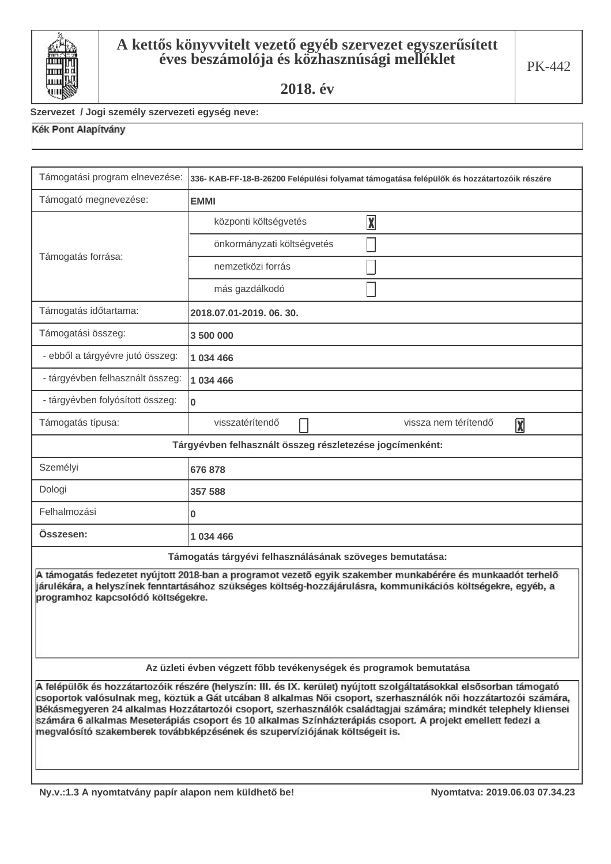

#### Szervezet / Jogi személy szervezeti egység neve:

| Támogatási program elnevezése:                                                                                                                                                                                                                                                                                                                                                                                                                                                                                                                           | 336- KAB-FF-18-B-26200 Felépülési folyamat támogatása felépülők és hozzátartozóik részére |  |  |  |
|----------------------------------------------------------------------------------------------------------------------------------------------------------------------------------------------------------------------------------------------------------------------------------------------------------------------------------------------------------------------------------------------------------------------------------------------------------------------------------------------------------------------------------------------------------|-------------------------------------------------------------------------------------------|--|--|--|
| Támogató megnevezése:                                                                                                                                                                                                                                                                                                                                                                                                                                                                                                                                    | <b>EMMI</b>                                                                               |  |  |  |
|                                                                                                                                                                                                                                                                                                                                                                                                                                                                                                                                                          | $\overline{\mathbf{X}}$<br>központi költségvetés                                          |  |  |  |
|                                                                                                                                                                                                                                                                                                                                                                                                                                                                                                                                                          | önkormányzati költségvetés                                                                |  |  |  |
| Támogatás forrása:                                                                                                                                                                                                                                                                                                                                                                                                                                                                                                                                       | nemzetközi forrás                                                                         |  |  |  |
|                                                                                                                                                                                                                                                                                                                                                                                                                                                                                                                                                          | más gazdálkodó                                                                            |  |  |  |
| Támogatás időtartama:                                                                                                                                                                                                                                                                                                                                                                                                                                                                                                                                    | 2018.07.01-2019.06.30.                                                                    |  |  |  |
| Támogatási összeg:                                                                                                                                                                                                                                                                                                                                                                                                                                                                                                                                       | 3 500 000                                                                                 |  |  |  |
| - ebből a tárgyévre jutó összeg:                                                                                                                                                                                                                                                                                                                                                                                                                                                                                                                         | 1 034 466                                                                                 |  |  |  |
| - tárgyévben felhasznált összeg:                                                                                                                                                                                                                                                                                                                                                                                                                                                                                                                         | 1 034 466                                                                                 |  |  |  |
| - tárgyévben folyósított összeg:                                                                                                                                                                                                                                                                                                                                                                                                                                                                                                                         | 0                                                                                         |  |  |  |
| Támogatás típusa:                                                                                                                                                                                                                                                                                                                                                                                                                                                                                                                                        | visszatérítendő<br>vissza nem térítendő<br>$\overline{\mathbf{X}}$                        |  |  |  |
| Tárgyévben felhasznált összeg részletezése jogcímenként:                                                                                                                                                                                                                                                                                                                                                                                                                                                                                                 |                                                                                           |  |  |  |
| Személyi                                                                                                                                                                                                                                                                                                                                                                                                                                                                                                                                                 | 676 878                                                                                   |  |  |  |
| Dologi                                                                                                                                                                                                                                                                                                                                                                                                                                                                                                                                                   | 357 588                                                                                   |  |  |  |
| Felhalmozási                                                                                                                                                                                                                                                                                                                                                                                                                                                                                                                                             | 0                                                                                         |  |  |  |
| Osszesen:                                                                                                                                                                                                                                                                                                                                                                                                                                                                                                                                                | 1 034 466                                                                                 |  |  |  |
|                                                                                                                                                                                                                                                                                                                                                                                                                                                                                                                                                          | Támogatás tárgyévi felhasználásának szöveges bemutatása:                                  |  |  |  |
| A támogatás fedezetet nyújtott 2018-ban a programot vezető egyik szakember munkabérére és munkaadót terhelő<br>járulékára, a helyszínek fenntartásához szükséges költség-hozzájárulásra, kommunikációs költségekre, egyéb, a<br>programhoz kapcsolódó költségekre.                                                                                                                                                                                                                                                                                       |                                                                                           |  |  |  |
| Az üzleti évben végzett főbb tevékenységek és programok bemutatása                                                                                                                                                                                                                                                                                                                                                                                                                                                                                       |                                                                                           |  |  |  |
| A felépülők és hozzátartozóik részére (helyszín: III. és IX. kerület) nyújtott szolgáltatásokkal elsősorban támogató<br>csoportok valósulnak meg, köztük a Gát utcában 8 alkalmas Női csoport, szerhasználók női hozzátartozói számára,<br>Békásmegyeren 24 alkalmas Hozzátartozói csoport, szerhasználók családtagjai számára; mindkét telephely kliensei<br>számára 6 alkalmas Meseterápiás csoport és 10 alkalmas Színházterápiás csoport. A projekt emellett fedezi a<br>megvalósító szakemberek továbbképzésének és szupervíziójának költségeit is. |                                                                                           |  |  |  |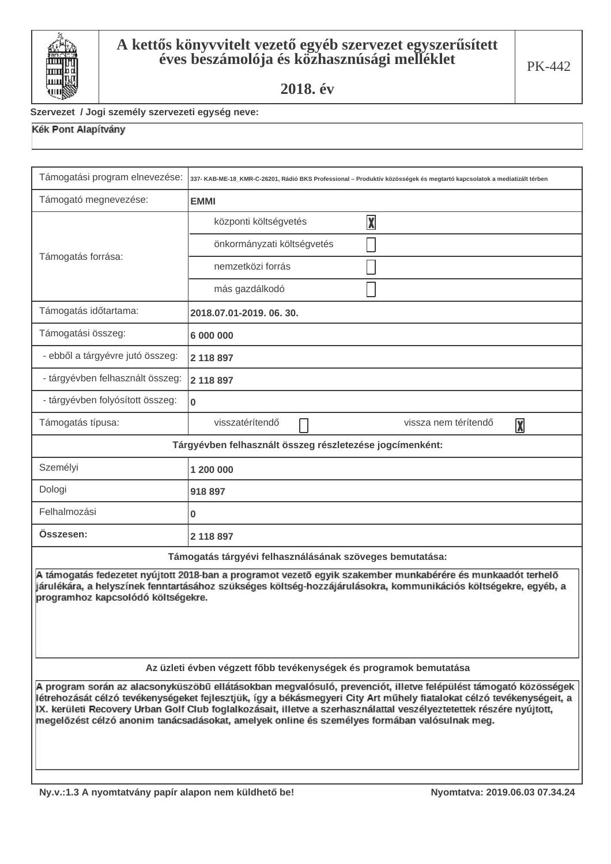

#### Szervezet / Jogi személy szervezeti egység neve:

| Támogatási program elnevezése:                                                                                                                                                                                                                                                                                                                                                                                                                                   | 337- KAB-ME-18_KMR-C-26201, Rádió BKS Professional – Produktív közösségek és megtartó kapcsolatok a mediatizált térben |  |  |  |
|------------------------------------------------------------------------------------------------------------------------------------------------------------------------------------------------------------------------------------------------------------------------------------------------------------------------------------------------------------------------------------------------------------------------------------------------------------------|------------------------------------------------------------------------------------------------------------------------|--|--|--|
| Támogató megnevezése:                                                                                                                                                                                                                                                                                                                                                                                                                                            | <b>EMMI</b>                                                                                                            |  |  |  |
|                                                                                                                                                                                                                                                                                                                                                                                                                                                                  | $\boxed{\mathbf{X}}$<br>központi költségvetés                                                                          |  |  |  |
|                                                                                                                                                                                                                                                                                                                                                                                                                                                                  | önkormányzati költségvetés                                                                                             |  |  |  |
| Támogatás forrása:                                                                                                                                                                                                                                                                                                                                                                                                                                               | nemzetközi forrás                                                                                                      |  |  |  |
|                                                                                                                                                                                                                                                                                                                                                                                                                                                                  | más gazdálkodó                                                                                                         |  |  |  |
| Támogatás időtartama:                                                                                                                                                                                                                                                                                                                                                                                                                                            | 2018.07.01-2019.06.30.                                                                                                 |  |  |  |
| Támogatási összeg:                                                                                                                                                                                                                                                                                                                                                                                                                                               | 6 000 000                                                                                                              |  |  |  |
| - ebből a tárgyévre jutó összeg:                                                                                                                                                                                                                                                                                                                                                                                                                                 | 2 118 897                                                                                                              |  |  |  |
| - tárgyévben felhasznált összeg:                                                                                                                                                                                                                                                                                                                                                                                                                                 | 2 118 897                                                                                                              |  |  |  |
| - tárgyévben folyósított összeg:                                                                                                                                                                                                                                                                                                                                                                                                                                 | 0                                                                                                                      |  |  |  |
| Támogatás típusa:                                                                                                                                                                                                                                                                                                                                                                                                                                                | visszatérítendő<br>vissza nem térítendő<br>$\boxed{\mathbf{X}}$                                                        |  |  |  |
| Tárgyévben felhasznált összeg részletezése jogcímenként:                                                                                                                                                                                                                                                                                                                                                                                                         |                                                                                                                        |  |  |  |
| Személyi                                                                                                                                                                                                                                                                                                                                                                                                                                                         | 1 200 000                                                                                                              |  |  |  |
| Dologi                                                                                                                                                                                                                                                                                                                                                                                                                                                           | 918 897                                                                                                                |  |  |  |
| Felhalmozási                                                                                                                                                                                                                                                                                                                                                                                                                                                     | 0                                                                                                                      |  |  |  |
| Osszesen:                                                                                                                                                                                                                                                                                                                                                                                                                                                        | 2 118 897                                                                                                              |  |  |  |
|                                                                                                                                                                                                                                                                                                                                                                                                                                                                  | Támogatás tárgyévi felhasználásának szöveges bemutatása:                                                               |  |  |  |
| A támogatás fedezetet nyújtott 2018-ban a programot vezető egyik szakember munkabérére és munkaadót terhelő<br>járulékára, a helyszínek fenntartásához szükséges költség-hozzájárulásokra, kommunikációs költségekre, egyéb, a<br>programhoz kapcsolódó költségekre.                                                                                                                                                                                             |                                                                                                                        |  |  |  |
| Az üzleti évben végzett főbb tevékenységek és programok bemutatása                                                                                                                                                                                                                                                                                                                                                                                               |                                                                                                                        |  |  |  |
| A program során az alacsonyküszöbű ellátásokban megvalósuló, prevenciót, illetve felépülést támogató közösségek<br>létrehozását célzó tevékenységeket fejlesztjük, így a békásmegyeri City Art műhely fiatalokat célzó tevékenységeit, a<br>IX. kerületi Recovery Urban Golf Club foglalkozásait, illetve a szerhasználattal veszélyeztetettek részére nyújtott,<br>megelőzést célzó anonim tanácsadásokat, amelyek online és személyes formában valósulnak meg. |                                                                                                                        |  |  |  |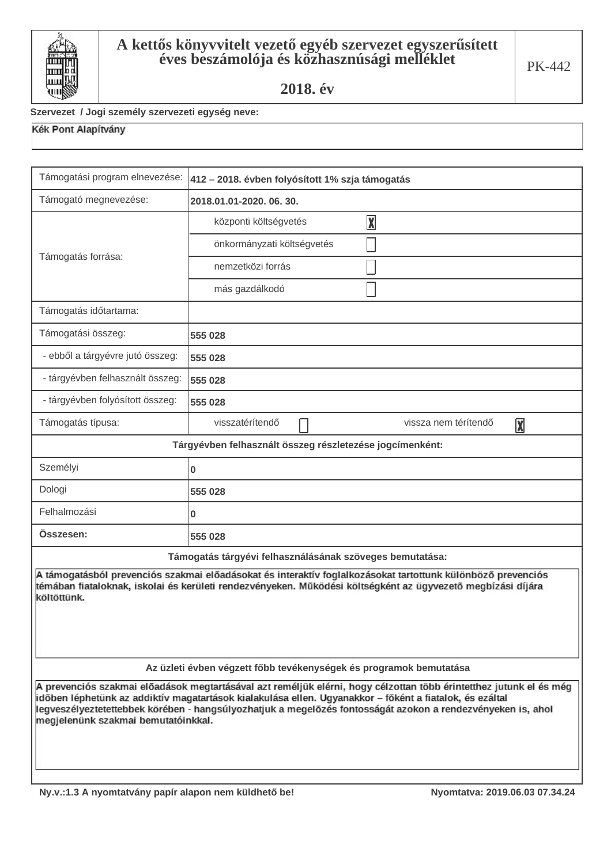

#### Szervezet / Jogi személy szervezeti egység neve:

| Támogatási program elnevezése:                                                                                                                                                                                                                                                                                                                                                      | 412 - 2018. évben folyósított 1% szja támogatás                 |  |  |  |
|-------------------------------------------------------------------------------------------------------------------------------------------------------------------------------------------------------------------------------------------------------------------------------------------------------------------------------------------------------------------------------------|-----------------------------------------------------------------|--|--|--|
| Támogató megnevezése:                                                                                                                                                                                                                                                                                                                                                               | 2018.01.01-2020.06.30.                                          |  |  |  |
|                                                                                                                                                                                                                                                                                                                                                                                     | $\boxed{\text{X}}$<br>központi költségvetés                     |  |  |  |
|                                                                                                                                                                                                                                                                                                                                                                                     | önkormányzati költségvetés                                      |  |  |  |
| Támogatás forrása:                                                                                                                                                                                                                                                                                                                                                                  | nemzetközi forrás                                               |  |  |  |
|                                                                                                                                                                                                                                                                                                                                                                                     | más gazdálkodó                                                  |  |  |  |
| Támogatás időtartama:                                                                                                                                                                                                                                                                                                                                                               |                                                                 |  |  |  |
| Támogatási összeg:                                                                                                                                                                                                                                                                                                                                                                  | 555 028                                                         |  |  |  |
| - ebből a tárgyévre jutó összeg:                                                                                                                                                                                                                                                                                                                                                    | 555 028                                                         |  |  |  |
| - tárgyévben felhasznált összeg:                                                                                                                                                                                                                                                                                                                                                    | 555 028                                                         |  |  |  |
| - tárgyévben folyósított összeg:                                                                                                                                                                                                                                                                                                                                                    | 555 028                                                         |  |  |  |
| Támogatás típusa:                                                                                                                                                                                                                                                                                                                                                                   | visszatérítendő<br>vissza nem térítendő<br>$\boxed{\mathbf{X}}$ |  |  |  |
| Tárgyévben felhasznált összeg részletezése jogcímenként:                                                                                                                                                                                                                                                                                                                            |                                                                 |  |  |  |
| Személyi                                                                                                                                                                                                                                                                                                                                                                            | $\mathbf 0$                                                     |  |  |  |
| Dologi                                                                                                                                                                                                                                                                                                                                                                              | 555 028                                                         |  |  |  |
| Felhalmozási                                                                                                                                                                                                                                                                                                                                                                        | 0                                                               |  |  |  |
| Osszesen:                                                                                                                                                                                                                                                                                                                                                                           | 555 028                                                         |  |  |  |
|                                                                                                                                                                                                                                                                                                                                                                                     | Támogatás tárgyévi felhasználásának szöveges bemutatása:        |  |  |  |
| A támogatásból prevenciós szakmai előadásokat és interaktív foglalkozásokat tartottunk különböző prevenciós<br>témában fiataloknak, iskolai és kerületi rendezvényeken. Működési költségként az ügyvezető megbízási díjára<br>költöttünk.                                                                                                                                           |                                                                 |  |  |  |
| Az üzleti évben végzett főbb tevékenységek és programok bemutatása                                                                                                                                                                                                                                                                                                                  |                                                                 |  |  |  |
| A prevenciós szakmai előadások megtartásával azt reméljük elérni, hogy célzottan több érintetthez jutunk el és még<br>időben léphetünk az addiktív magatartások kialakulása ellen. Ugyanakkor – főként a fiatalok, és ezáltal<br>legveszélyeztetettebbek körében - hangsúlyozhatjuk a megelőzés fontosságát azokon a rendezvényeken is, ahol<br>megjelenünk szakmai bemutatóinkkal. |                                                                 |  |  |  |